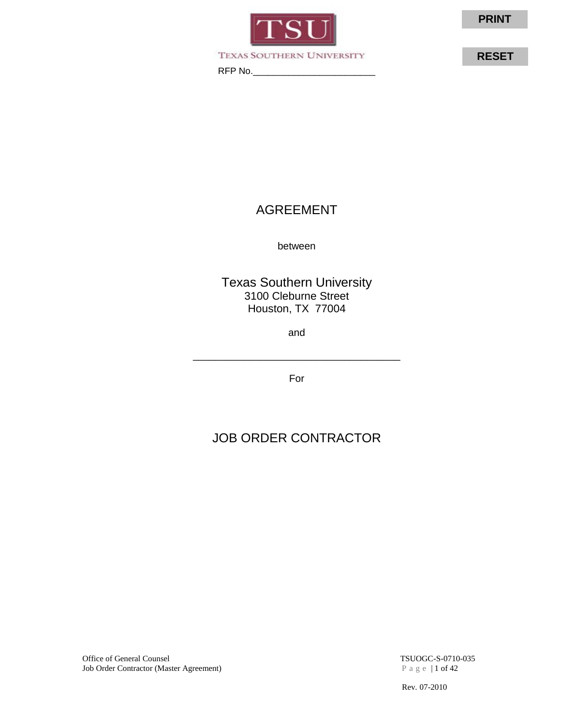

TEXAS SOUTHERN UNIVERSITY

RFP No.\_\_\_\_\_\_\_\_\_\_\_\_\_\_\_\_\_\_\_\_\_\_\_\_

**RESET**

# AGREEMENT

between

Texas Southern University 3100 Cleburne Street Houston, TX 77004

and

For

\_\_\_\_\_\_\_\_\_\_\_\_\_\_\_\_\_\_\_\_\_\_\_\_\_\_\_\_\_\_\_\_\_\_\_\_\_

# JOB ORDER CONTRACTOR

Office of General Counsel<br>
Job Order Contractor (Master Agreement)<br>  $P$  a g e | 1 of 42<br>  $P$  a g e | 1 of 42 Job Order Contractor (Master Agreement)

Rev. 07-2010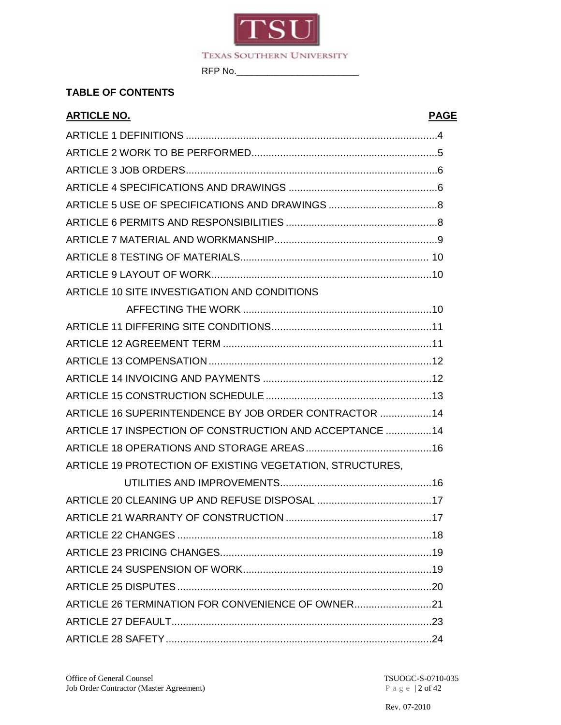

## **TABLE OF CONTENTS**

| <b>ARTICLE NO.</b>                                        | <b>PAGE</b> |
|-----------------------------------------------------------|-------------|
|                                                           |             |
|                                                           |             |
|                                                           |             |
|                                                           |             |
|                                                           |             |
|                                                           |             |
|                                                           |             |
|                                                           |             |
|                                                           |             |
| ARTICLE 10 SITE INVESTIGATION AND CONDITIONS              |             |
|                                                           |             |
|                                                           |             |
|                                                           |             |
|                                                           |             |
|                                                           |             |
|                                                           |             |
| ARTICLE 16 SUPERINTENDENCE BY JOB ORDER CONTRACTOR  14    |             |
| ARTICLE 17 INSPECTION OF CONSTRUCTION AND ACCEPTANCE  14  |             |
|                                                           |             |
| ARTICLE 19 PROTECTION OF EXISTING VEGETATION, STRUCTURES, |             |
|                                                           |             |
|                                                           |             |
|                                                           |             |
|                                                           |             |
|                                                           |             |
|                                                           |             |
|                                                           |             |
| ARTICLE 26 TERMINATION FOR CONVENIENCE OF OWNER21         |             |
|                                                           |             |
|                                                           |             |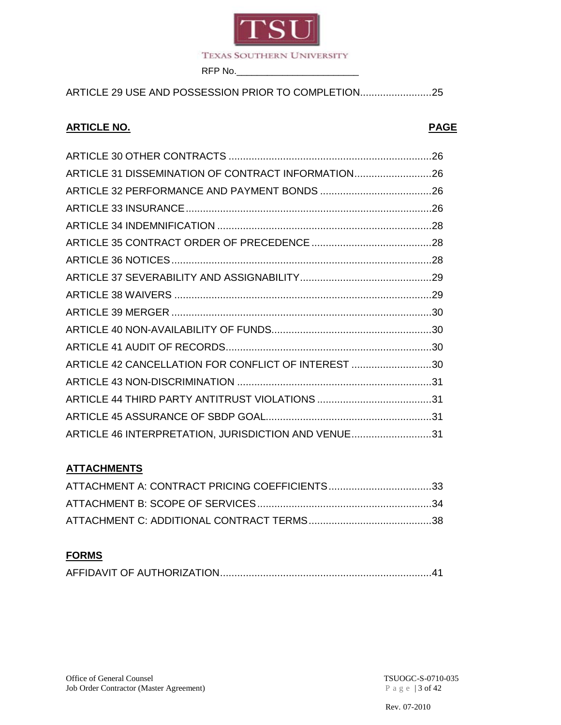

ARTICLE 29 USE AND POSSESSION PRIOR TO COMPLETION.........................25

## **ARTICLE NO. PAGE**

| ARTICLE 31 DISSEMINATION OF CONTRACT INFORMATION26  |  |
|-----------------------------------------------------|--|
|                                                     |  |
|                                                     |  |
|                                                     |  |
|                                                     |  |
|                                                     |  |
|                                                     |  |
|                                                     |  |
|                                                     |  |
|                                                     |  |
|                                                     |  |
| ARTICLE 42 CANCELLATION FOR CONFLICT OF INTEREST 30 |  |
|                                                     |  |
|                                                     |  |
|                                                     |  |
| ARTICLE 46 INTERPRETATION, JURISDICTION AND VENUE31 |  |

## **ATTACHMENTS**

## **FORMS**

|--|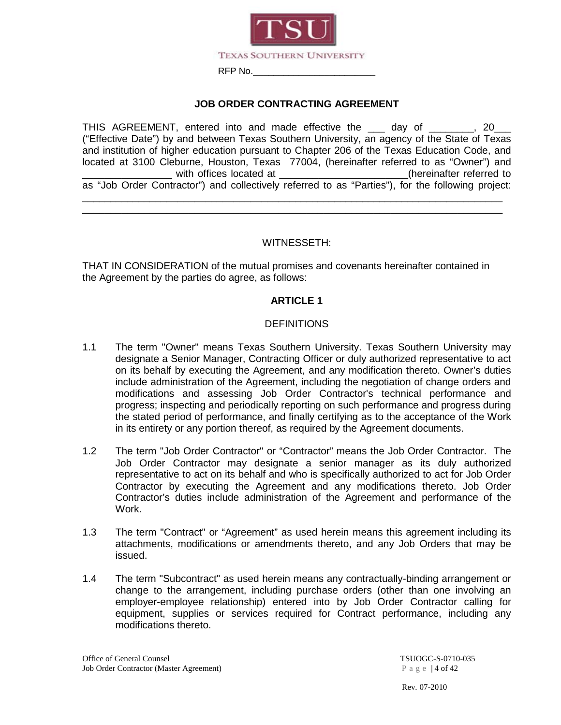

#### **JOB ORDER CONTRACTING AGREEMENT**

THIS AGREEMENT, entered into and made effective the day of  $\qquad \qquad .$  20 ("Effective Date") by and between Texas Southern University, an agency of the State of Texas and institution of higher education pursuant to Chapter 206 of the Texas Education Code, and located at 3100 Cleburne, Houston, Texas 77004, (hereinafter referred to as "Owner") and with offices located at  $\qquad \qquad$  (hereinafter referred to as "Job Order Contractor") and collectively referred to as "Parties"), for the following project: \_\_\_\_\_\_\_\_\_\_\_\_\_\_\_\_\_\_\_\_\_\_\_\_\_\_\_\_\_\_\_\_\_\_\_\_\_\_\_\_\_\_\_\_\_\_\_\_\_\_\_\_\_\_\_\_\_\_\_\_\_\_\_\_\_\_\_\_\_\_\_\_\_\_\_

#### WITNESSETH:

\_\_\_\_\_\_\_\_\_\_\_\_\_\_\_\_\_\_\_\_\_\_\_\_\_\_\_\_\_\_\_\_\_\_\_\_\_\_\_\_\_\_\_\_\_\_\_\_\_\_\_\_\_\_\_\_\_\_\_\_\_\_\_\_\_\_\_\_\_\_\_\_\_\_\_

THAT IN CONSIDERATION of the mutual promises and covenants hereinafter contained in the Agreement by the parties do agree, as follows:

#### **ARTICLE 1**

#### **DEFINITIONS**

- 1.1 The term "Owner" means Texas Southern University. Texas Southern University may designate a Senior Manager, Contracting Officer or duly authorized representative to act on its behalf by executing the Agreement, and any modification thereto. Owner's duties include administration of the Agreement, including the negotiation of change orders and modifications and assessing Job Order Contractor's technical performance and progress; inspecting and periodically reporting on such performance and progress during the stated period of performance, and finally certifying as to the acceptance of the Work in its entirety or any portion thereof, as required by the Agreement documents.
- 1.2 The term "Job Order Contractor" or "Contractor" means the Job Order Contractor. The Job Order Contractor may designate a senior manager as its duly authorized representative to act on its behalf and who is specifically authorized to act for Job Order Contractor by executing the Agreement and any modifications thereto. Job Order Contractor's duties include administration of the Agreement and performance of the Work.
- 1.3 The term "Contract" or "Agreement" as used herein means this agreement including its attachments, modifications or amendments thereto, and any Job Orders that may be issued.
- 1.4 The term "Subcontract" as used herein means any contractually-binding arrangement or change to the arrangement, including purchase orders (other than one involving an employer-employee relationship) entered into by Job Order Contractor calling for equipment, supplies or services required for Contract performance, including any modifications thereto.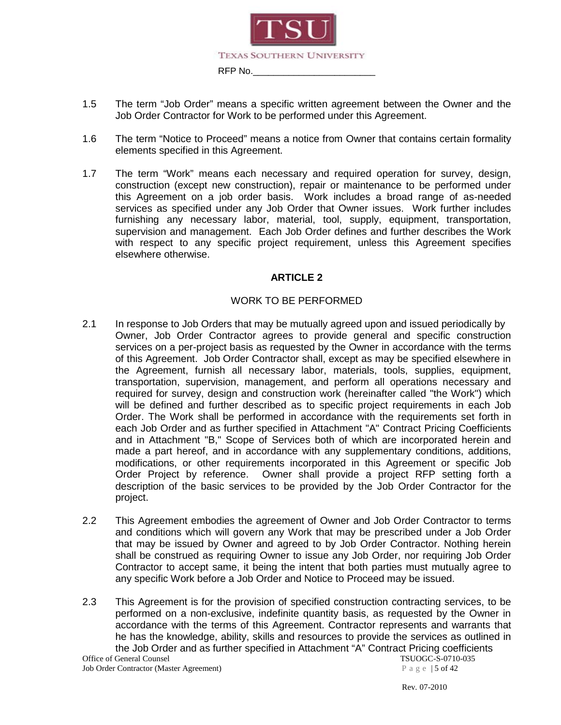

- 1.5 The term "Job Order" means a specific written agreement between the Owner and the Job Order Contractor for Work to be performed under this Agreement.
- 1.6 The term "Notice to Proceed" means a notice from Owner that contains certain formality elements specified in this Agreement.
- 1.7 The term "Work" means each necessary and required operation for survey, design, construction (except new construction), repair or maintenance to be performed under this Agreement on a job order basis. Work includes a broad range of as-needed services as specified under any Job Order that Owner issues. Work further includes furnishing any necessary labor, material, tool, supply, equipment, transportation, supervision and management. Each Job Order defines and further describes the Work with respect to any specific project requirement, unless this Agreement specifies elsewhere otherwise.

#### WORK TO BE PERFORMED

- 2.1 In response to Job Orders that may be mutually agreed upon and issued periodically by Owner, Job Order Contractor agrees to provide general and specific construction services on a per-project basis as requested by the Owner in accordance with the terms of this Agreement. Job Order Contractor shall, except as may be specified elsewhere in the Agreement, furnish all necessary labor, materials, tools, supplies, equipment, transportation, supervision, management, and perform all operations necessary and required for survey, design and construction work (hereinafter called "the Work") which will be defined and further described as to specific project requirements in each Job Order. The Work shall be performed in accordance with the requirements set forth in each Job Order and as further specified in Attachment "A" Contract Pricing Coefficients and in Attachment "B," Scope of Services both of which are incorporated herein and made a part hereof, and in accordance with any supplementary conditions, additions, modifications, or other requirements incorporated in this Agreement or specific Job Order Project by reference. Owner shall provide a project RFP setting forth a description of the basic services to be provided by the Job Order Contractor for the project.
- 2.2 This Agreement embodies the agreement of Owner and Job Order Contractor to terms and conditions which will govern any Work that may be prescribed under a Job Order that may be issued by Owner and agreed to by Job Order Contractor. Nothing herein shall be construed as requiring Owner to issue any Job Order, nor requiring Job Order Contractor to accept same, it being the intent that both parties must mutually agree to any specific Work before a Job Order and Notice to Proceed may be issued.
- 2.3 This Agreement is for the provision of specified construction contracting services, to be performed on a non-exclusive, indefinite quantity basis, as requested by the Owner in accordance with the terms of this Agreement. Contractor represents and warrants that he has the knowledge, ability, skills and resources to provide the services as outlined in the Job Order and as further specified in Attachment "A" Contract Pricing coefficients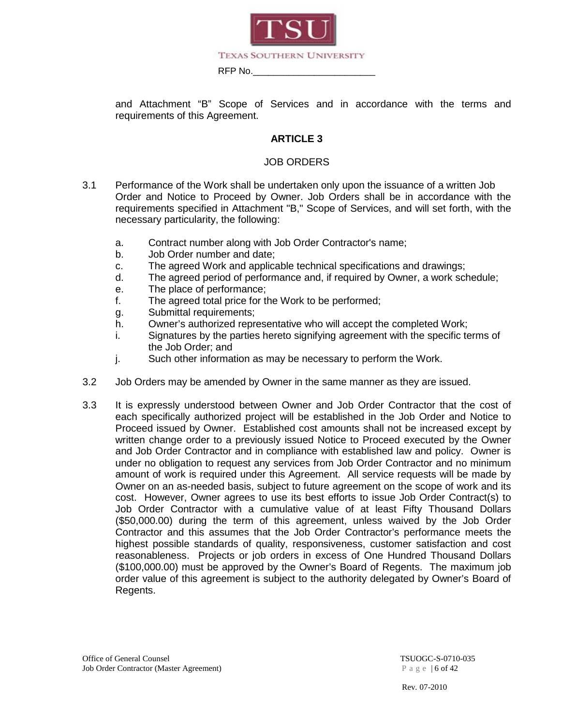

and Attachment "B" Scope of Services and in accordance with the terms and requirements of this Agreement.

#### **ARTICLE 3**

#### JOB ORDERS

- 3.1 Performance of the Work shall be undertaken only upon the issuance of a written Job Order and Notice to Proceed by Owner. Job Orders shall be in accordance with the requirements specified in Attachment "B," Scope of Services, and will set forth, with the necessary particularity, the following:
	- a. Contract number along with Job Order Contractor's name;
	- b. Job Order number and date;
	- c. The agreed Work and applicable technical specifications and drawings;
	- d. The agreed period of performance and, if required by Owner, a work schedule;
	- e. The place of performance;
	- f. The agreed total price for the Work to be performed;
	- g. Submittal requirements;
	- h. Owner's authorized representative who will accept the completed Work;
	- i. Signatures by the parties hereto signifying agreement with the specific terms of the Job Order; and
	- j. Such other information as may be necessary to perform the Work.
- 3.2 Job Orders may be amended by Owner in the same manner as they are issued.
- 3.3 It is expressly understood between Owner and Job Order Contractor that the cost of each specifically authorized project will be established in the Job Order and Notice to Proceed issued by Owner. Established cost amounts shall not be increased except by written change order to a previously issued Notice to Proceed executed by the Owner and Job Order Contractor and in compliance with established law and policy. Owner is under no obligation to request any services from Job Order Contractor and no minimum amount of work is required under this Agreement. All service requests will be made by Owner on an as-needed basis, subject to future agreement on the scope of work and its cost. However, Owner agrees to use its best efforts to issue Job Order Contract(s) to Job Order Contractor with a cumulative value of at least Fifty Thousand Dollars (\$50,000.00) during the term of this agreement, unless waived by the Job Order Contractor and this assumes that the Job Order Contractor's performance meets the highest possible standards of quality, responsiveness, customer satisfaction and cost reasonableness. Projects or job orders in excess of One Hundred Thousand Dollars (\$100,000.00) must be approved by the Owner's Board of Regents. The maximum job order value of this agreement is subject to the authority delegated by Owner's Board of Regents.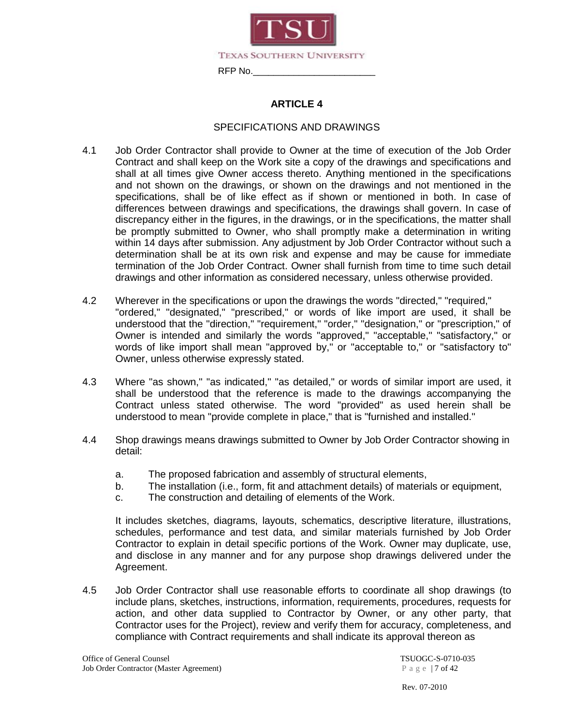

#### SPECIFICATIONS AND DRAWINGS

- 4.1 Job Order Contractor shall provide to Owner at the time of execution of the Job Order Contract and shall keep on the Work site a copy of the drawings and specifications and shall at all times give Owner access thereto. Anything mentioned in the specifications and not shown on the drawings, or shown on the drawings and not mentioned in the specifications, shall be of like effect as if shown or mentioned in both. In case of differences between drawings and specifications, the drawings shall govern. In case of discrepancy either in the figures, in the drawings, or in the specifications, the matter shall be promptly submitted to Owner, who shall promptly make a determination in writing within 14 days after submission. Any adjustment by Job Order Contractor without such a determination shall be at its own risk and expense and may be cause for immediate termination of the Job Order Contract. Owner shall furnish from time to time such detail drawings and other information as considered necessary, unless otherwise provided.
- 4.2 Wherever in the specifications or upon the drawings the words "directed," "required," "ordered," "designated," "prescribed," or words of like import are used, it shall be understood that the "direction," "requirement," "order," "designation," or "prescription," of Owner is intended and similarly the words "approved," "acceptable," "satisfactory," or words of like import shall mean "approved by," or "acceptable to," or "satisfactory to" Owner, unless otherwise expressly stated.
- 4.3 Where "as shown," "as indicated," "as detailed," or words of similar import are used, it shall be understood that the reference is made to the drawings accompanying the Contract unless stated otherwise. The word "provided" as used herein shall be understood to mean "provide complete in place," that is "furnished and installed."
- 4.4 Shop drawings means drawings submitted to Owner by Job Order Contractor showing in detail:
	- a. The proposed fabrication and assembly of structural elements,
	- b. The installation (i.e., form, fit and attachment details) of materials or equipment,
	- c. The construction and detailing of elements of the Work.

It includes sketches, diagrams, layouts, schematics, descriptive literature, illustrations, schedules, performance and test data, and similar materials furnished by Job Order Contractor to explain in detail specific portions of the Work. Owner may duplicate, use, and disclose in any manner and for any purpose shop drawings delivered under the Agreement.

4.5 Job Order Contractor shall use reasonable efforts to coordinate all shop drawings (to include plans, sketches, instructions, information, requirements, procedures, requests for action, and other data supplied to Contractor by Owner, or any other party, that Contractor uses for the Project), review and verify them for accuracy, completeness, and compliance with Contract requirements and shall indicate its approval thereon as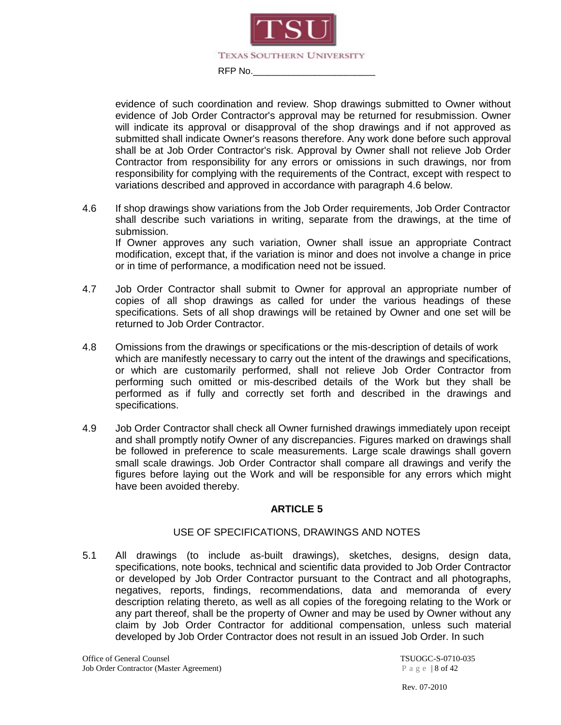

evidence of such coordination and review. Shop drawings submitted to Owner without evidence of Job Order Contractor's approval may be returned for resubmission. Owner will indicate its approval or disapproval of the shop drawings and if not approved as submitted shall indicate Owner's reasons therefore. Any work done before such approval shall be at Job Order Contractor's risk. Approval by Owner shall not relieve Job Order Contractor from responsibility for any errors or omissions in such drawings, nor from responsibility for complying with the requirements of the Contract, except with respect to variations described and approved in accordance with paragraph 4.6 below.

4.6 If shop drawings show variations from the Job Order requirements, Job Order Contractor shall describe such variations in writing, separate from the drawings, at the time of submission. If Owner approves any such variation, Owner shall issue an appropriate Contract

modification, except that, if the variation is minor and does not involve a change in price or in time of performance, a modification need not be issued.

- 4.7 Job Order Contractor shall submit to Owner for approval an appropriate number of copies of all shop drawings as called for under the various headings of these specifications. Sets of all shop drawings will be retained by Owner and one set will be returned to Job Order Contractor.
- 4.8 Omissions from the drawings or specifications or the mis-description of details of work which are manifestly necessary to carry out the intent of the drawings and specifications, or which are customarily performed, shall not relieve Job Order Contractor from performing such omitted or mis-described details of the Work but they shall be performed as if fully and correctly set forth and described in the drawings and specifications.
- 4.9 Job Order Contractor shall check all Owner furnished drawings immediately upon receipt and shall promptly notify Owner of any discrepancies. Figures marked on drawings shall be followed in preference to scale measurements. Large scale drawings shall govern small scale drawings. Job Order Contractor shall compare all drawings and verify the figures before laying out the Work and will be responsible for any errors which might have been avoided thereby.

#### **ARTICLE 5**

#### USE OF SPECIFICATIONS, DRAWINGS AND NOTES

5.1 All drawings (to include as-built drawings), sketches, designs, design data, specifications, note books, technical and scientific data provided to Job Order Contractor or developed by Job Order Contractor pursuant to the Contract and all photographs, negatives, reports, findings, recommendations, data and memoranda of every description relating thereto, as well as all copies of the foregoing relating to the Work or any part thereof, shall be the property of Owner and may be used by Owner without any claim by Job Order Contractor for additional compensation, unless such material developed by Job Order Contractor does not result in an issued Job Order. In such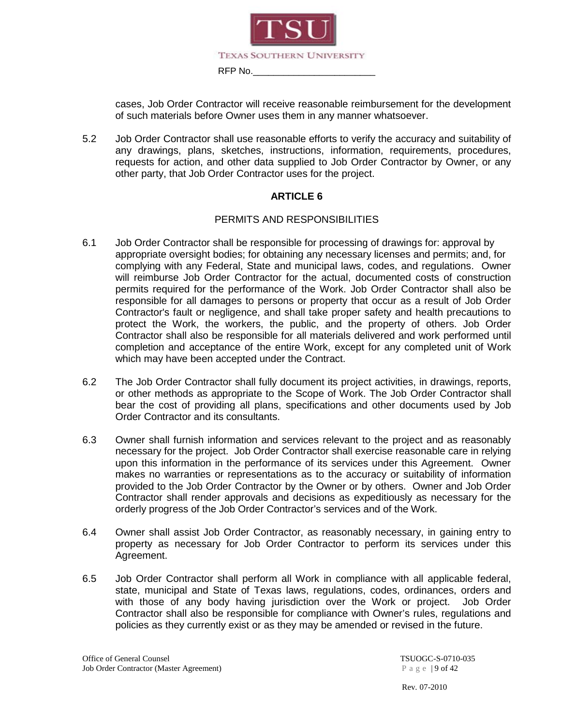

cases, Job Order Contractor will receive reasonable reimbursement for the development of such materials before Owner uses them in any manner whatsoever.

5.2 Job Order Contractor shall use reasonable efforts to verify the accuracy and suitability of any drawings, plans, sketches, instructions, information, requirements, procedures, requests for action, and other data supplied to Job Order Contractor by Owner, or any other party, that Job Order Contractor uses for the project.

#### **ARTICLE 6**

#### PERMITS AND RESPONSIBILITIES

- 6.1 Job Order Contractor shall be responsible for processing of drawings for: approval by appropriate oversight bodies; for obtaining any necessary licenses and permits; and, for complying with any Federal, State and municipal laws, codes, and regulations. Owner will reimburse Job Order Contractor for the actual, documented costs of construction permits required for the performance of the Work. Job Order Contractor shall also be responsible for all damages to persons or property that occur as a result of Job Order Contractor's fault or negligence, and shall take proper safety and health precautions to protect the Work, the workers, the public, and the property of others. Job Order Contractor shall also be responsible for all materials delivered and work performed until completion and acceptance of the entire Work, except for any completed unit of Work which may have been accepted under the Contract.
- 6.2 The Job Order Contractor shall fully document its project activities, in drawings, reports, or other methods as appropriate to the Scope of Work. The Job Order Contractor shall bear the cost of providing all plans, specifications and other documents used by Job Order Contractor and its consultants.
- 6.3 Owner shall furnish information and services relevant to the project and as reasonably necessary for the project. Job Order Contractor shall exercise reasonable care in relying upon this information in the performance of its services under this Agreement. Owner makes no warranties or representations as to the accuracy or suitability of information provided to the Job Order Contractor by the Owner or by others. Owner and Job Order Contractor shall render approvals and decisions as expeditiously as necessary for the orderly progress of the Job Order Contractor's services and of the Work.
- 6.4 Owner shall assist Job Order Contractor, as reasonably necessary, in gaining entry to property as necessary for Job Order Contractor to perform its services under this Agreement.
- 6.5 Job Order Contractor shall perform all Work in compliance with all applicable federal, state, municipal and State of Texas laws, regulations, codes, ordinances, orders and with those of any body having jurisdiction over the Work or project. Job Order Contractor shall also be responsible for compliance with Owner's rules, regulations and policies as they currently exist or as they may be amended or revised in the future.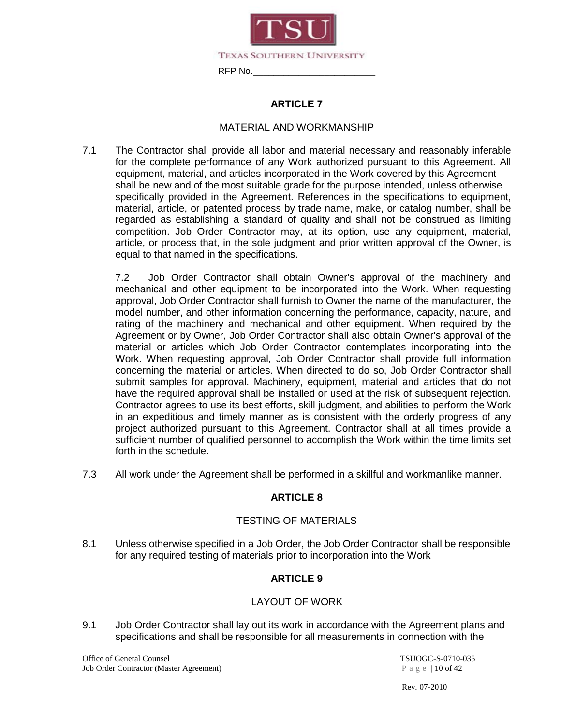

#### MATERIAL AND WORKMANSHIP

7.1 The Contractor shall provide all labor and material necessary and reasonably inferable for the complete performance of any Work authorized pursuant to this Agreement. All equipment, material, and articles incorporated in the Work covered by this Agreement shall be new and of the most suitable grade for the purpose intended, unless otherwise specifically provided in the Agreement. References in the specifications to equipment, material, article, or patented process by trade name, make, or catalog number, shall be regarded as establishing a standard of quality and shall not be construed as limiting competition. Job Order Contractor may, at its option, use any equipment, material, article, or process that, in the sole judgment and prior written approval of the Owner, is equal to that named in the specifications.

7.2 Job Order Contractor shall obtain Owner's approval of the machinery and mechanical and other equipment to be incorporated into the Work. When requesting approval, Job Order Contractor shall furnish to Owner the name of the manufacturer, the model number, and other information concerning the performance, capacity, nature, and rating of the machinery and mechanical and other equipment. When required by the Agreement or by Owner, Job Order Contractor shall also obtain Owner's approval of the material or articles which Job Order Contractor contemplates incorporating into the Work. When requesting approval, Job Order Contractor shall provide full information concerning the material or articles. When directed to do so, Job Order Contractor shall submit samples for approval. Machinery, equipment, material and articles that do not have the required approval shall be installed or used at the risk of subsequent rejection. Contractor agrees to use its best efforts, skill judgment, and abilities to perform the Work in an expeditious and timely manner as is consistent with the orderly progress of any project authorized pursuant to this Agreement. Contractor shall at all times provide a sufficient number of qualified personnel to accomplish the Work within the time limits set forth in the schedule.

7.3 All work under the Agreement shall be performed in a skillful and workmanlike manner.

#### **ARTICLE 8**

#### TESTING OF MATERIALS

8.1 Unless otherwise specified in a Job Order, the Job Order Contractor shall be responsible for any required testing of materials prior to incorporation into the Work

#### **ARTICLE 9**

#### LAYOUT OF WORK

9.1 Job Order Contractor shall lay out its work in accordance with the Agreement plans and specifications and shall be responsible for all measurements in connection with the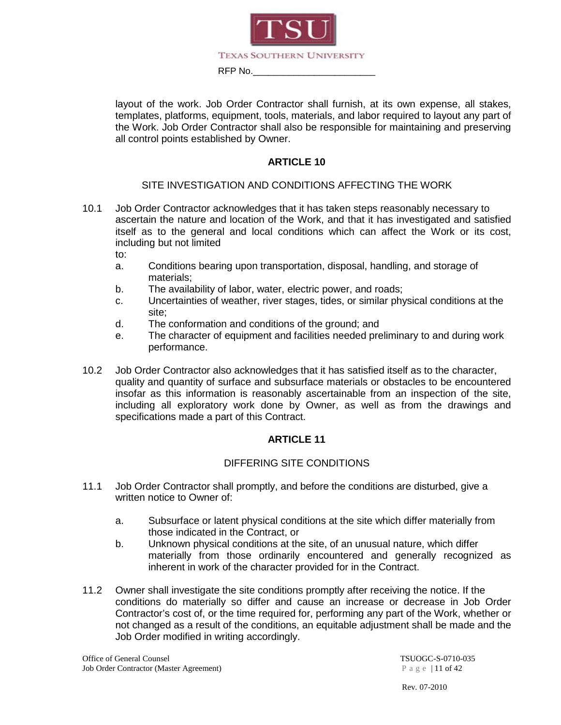

layout of the work. Job Order Contractor shall furnish, at its own expense, all stakes, templates, platforms, equipment, tools, materials, and labor required to layout any part of the Work. Job Order Contractor shall also be responsible for maintaining and preserving all control points established by Owner.

#### **ARTICLE 10**

#### SITE INVESTIGATION AND CONDITIONS AFFECTING THE WORK

10.1 Job Order Contractor acknowledges that it has taken steps reasonably necessary to ascertain the nature and location of the Work, and that it has investigated and satisfied itself as to the general and local conditions which can affect the Work or its cost, including but not limited

to:

- a. Conditions bearing upon transportation, disposal, handling, and storage of materials;
- b. The availability of labor, water, electric power, and roads;
- c. Uncertainties of weather, river stages, tides, or similar physical conditions at the site;
- d. The conformation and conditions of the ground; and
- e. The character of equipment and facilities needed preliminary to and during work performance.
- 10.2 Job Order Contractor also acknowledges that it has satisfied itself as to the character, quality and quantity of surface and subsurface materials or obstacles to be encountered insofar as this information is reasonably ascertainable from an inspection of the site, including all exploratory work done by Owner, as well as from the drawings and specifications made a part of this Contract.

#### **ARTICLE 11**

#### DIFFERING SITE CONDITIONS

- 11.1 Job Order Contractor shall promptly, and before the conditions are disturbed, give a written notice to Owner of:
	- a. Subsurface or latent physical conditions at the site which differ materially from those indicated in the Contract, or
	- b. Unknown physical conditions at the site, of an unusual nature, which differ materially from those ordinarily encountered and generally recognized as inherent in work of the character provided for in the Contract.
- 11.2 Owner shall investigate the site conditions promptly after receiving the notice. If the conditions do materially so differ and cause an increase or decrease in Job Order Contractor's cost of, or the time required for, performing any part of the Work, whether or not changed as a result of the conditions, an equitable adjustment shall be made and the Job Order modified in writing accordingly.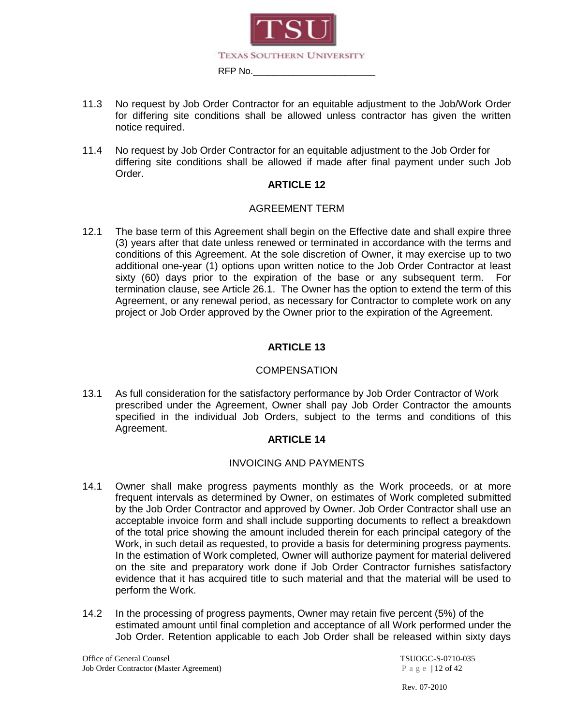

- 11.3 No request by Job Order Contractor for an equitable adjustment to the Job/Work Order for differing site conditions shall be allowed unless contractor has given the written notice required.
- 11.4 No request by Job Order Contractor for an equitable adjustment to the Job Order for differing site conditions shall be allowed if made after final payment under such Job Order.

#### AGREEMENT TERM

12.1 The base term of this Agreement shall begin on the Effective date and shall expire three (3) years after that date unless renewed or terminated in accordance with the terms and conditions of this Agreement. At the sole discretion of Owner, it may exercise up to two additional one-year (1) options upon written notice to the Job Order Contractor at least sixty (60) days prior to the expiration of the base or any subsequent term. For termination clause, see Article 26.1. The Owner has the option to extend the term of this Agreement, or any renewal period, as necessary for Contractor to complete work on any project or Job Order approved by the Owner prior to the expiration of the Agreement.

#### **ARTICLE 13**

#### **COMPENSATION**

13.1 As full consideration for the satisfactory performance by Job Order Contractor of Work prescribed under the Agreement, Owner shall pay Job Order Contractor the amounts specified in the individual Job Orders, subject to the terms and conditions of this Agreement.

#### **ARTICLE 14**

#### INVOICING AND PAYMENTS

- 14.1 Owner shall make progress payments monthly as the Work proceeds, or at more frequent intervals as determined by Owner, on estimates of Work completed submitted by the Job Order Contractor and approved by Owner. Job Order Contractor shall use an acceptable invoice form and shall include supporting documents to reflect a breakdown of the total price showing the amount included therein for each principal category of the Work, in such detail as requested, to provide a basis for determining progress payments. In the estimation of Work completed, Owner will authorize payment for material delivered on the site and preparatory work done if Job Order Contractor furnishes satisfactory evidence that it has acquired title to such material and that the material will be used to perform the Work.
- 14.2 In the processing of progress payments, Owner may retain five percent (5%) of the estimated amount until final completion and acceptance of all Work performed under the Job Order. Retention applicable to each Job Order shall be released within sixty days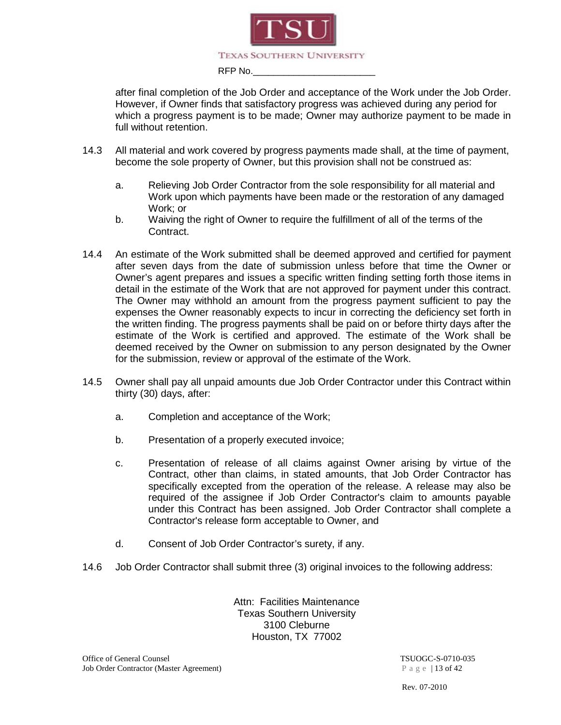

after final completion of the Job Order and acceptance of the Work under the Job Order. However, if Owner finds that satisfactory progress was achieved during any period for which a progress payment is to be made; Owner may authorize payment to be made in full without retention.

- 14.3 All material and work covered by progress payments made shall, at the time of payment, become the sole property of Owner, but this provision shall not be construed as:
	- a. Relieving Job Order Contractor from the sole responsibility for all material and Work upon which payments have been made or the restoration of any damaged Work; or
	- b. Waiving the right of Owner to require the fulfillment of all of the terms of the Contract.
- 14.4 An estimate of the Work submitted shall be deemed approved and certified for payment after seven days from the date of submission unless before that time the Owner or Owner's agent prepares and issues a specific written finding setting forth those items in detail in the estimate of the Work that are not approved for payment under this contract. The Owner may withhold an amount from the progress payment sufficient to pay the expenses the Owner reasonably expects to incur in correcting the deficiency set forth in the written finding. The progress payments shall be paid on or before thirty days after the estimate of the Work is certified and approved. The estimate of the Work shall be deemed received by the Owner on submission to any person designated by the Owner for the submission, review or approval of the estimate of the Work.
- 14.5 Owner shall pay all unpaid amounts due Job Order Contractor under this Contract within thirty (30) days, after:
	- a. Completion and acceptance of the Work;
	- b. Presentation of a properly executed invoice;
	- c. Presentation of release of all claims against Owner arising by virtue of the Contract, other than claims, in stated amounts, that Job Order Contractor has specifically excepted from the operation of the release. A release may also be required of the assignee if Job Order Contractor's claim to amounts payable under this Contract has been assigned. Job Order Contractor shall complete a Contractor's release form acceptable to Owner, and
	- d. Consent of Job Order Contractor's surety, if any.
- 14.6 Job Order Contractor shall submit three (3) original invoices to the following address:

Attn: Facilities Maintenance Texas Southern University 3100 Cleburne Houston, TX 77002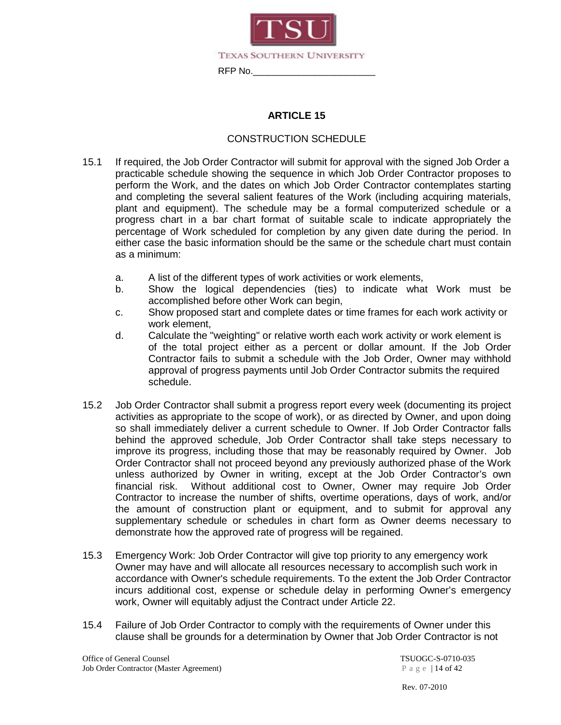

#### CONSTRUCTION SCHEDULE

- 15.1 If required, the Job Order Contractor will submit for approval with the signed Job Order a practicable schedule showing the sequence in which Job Order Contractor proposes to perform the Work, and the dates on which Job Order Contractor contemplates starting and completing the several salient features of the Work (including acquiring materials, plant and equipment). The schedule may be a formal computerized schedule or a progress chart in a bar chart format of suitable scale to indicate appropriately the percentage of Work scheduled for completion by any given date during the period. In either case the basic information should be the same or the schedule chart must contain as a minimum:
	- a. A list of the different types of work activities or work elements,
	- b. Show the logical dependencies (ties) to indicate what Work must be accomplished before other Work can begin,
	- c. Show proposed start and complete dates or time frames for each work activity or work element,
	- d. Calculate the "weighting" or relative worth each work activity or work element is of the total project either as a percent or dollar amount. If the Job Order Contractor fails to submit a schedule with the Job Order, Owner may withhold approval of progress payments until Job Order Contractor submits the required schedule.
- 15.2 Job Order Contractor shall submit a progress report every week (documenting its project activities as appropriate to the scope of work), or as directed by Owner, and upon doing so shall immediately deliver a current schedule to Owner. If Job Order Contractor falls behind the approved schedule, Job Order Contractor shall take steps necessary to improve its progress, including those that may be reasonably required by Owner. Job Order Contractor shall not proceed beyond any previously authorized phase of the Work unless authorized by Owner in writing, except at the Job Order Contractor's own financial risk. Without additional cost to Owner, Owner may require Job Order Contractor to increase the number of shifts, overtime operations, days of work, and/or the amount of construction plant or equipment, and to submit for approval any supplementary schedule or schedules in chart form as Owner deems necessary to demonstrate how the approved rate of progress will be regained.
- 15.3 Emergency Work: Job Order Contractor will give top priority to any emergency work Owner may have and will allocate all resources necessary to accomplish such work in accordance with Owner's schedule requirements. To the extent the Job Order Contractor incurs additional cost, expense or schedule delay in performing Owner's emergency work, Owner will equitably adjust the Contract under Article 22.
- 15.4 Failure of Job Order Contractor to comply with the requirements of Owner under this clause shall be grounds for a determination by Owner that Job Order Contractor is not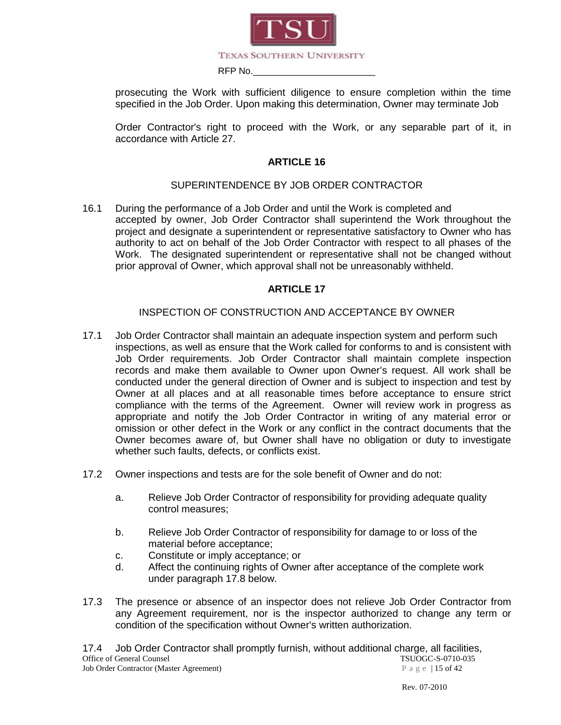

prosecuting the Work with sufficient diligence to ensure completion within the time specified in the Job Order. Upon making this determination, Owner may terminate Job

Order Contractor's right to proceed with the Work, or any separable part of it, in accordance with Article 27.

#### **ARTICLE 16**

#### SUPERINTENDENCE BY JOB ORDER CONTRACTOR

16.1 During the performance of a Job Order and until the Work is completed and accepted by owner, Job Order Contractor shall superintend the Work throughout the project and designate a superintendent or representative satisfactory to Owner who has authority to act on behalf of the Job Order Contractor with respect to all phases of the Work. The designated superintendent or representative shall not be changed without prior approval of Owner, which approval shall not be unreasonably withheld.

#### **ARTICLE 17**

#### INSPECTION OF CONSTRUCTION AND ACCEPTANCE BY OWNER

- 17.1 Job Order Contractor shall maintain an adequate inspection system and perform such inspections, as well as ensure that the Work called for conforms to and is consistent with Job Order requirements. Job Order Contractor shall maintain complete inspection records and make them available to Owner upon Owner's request. All work shall be conducted under the general direction of Owner and is subject to inspection and test by Owner at all places and at all reasonable times before acceptance to ensure strict compliance with the terms of the Agreement. Owner will review work in progress as appropriate and notify the Job Order Contractor in writing of any material error or omission or other defect in the Work or any conflict in the contract documents that the Owner becomes aware of, but Owner shall have no obligation or duty to investigate whether such faults, defects, or conflicts exist.
- 17.2 Owner inspections and tests are for the sole benefit of Owner and do not:
	- a. Relieve Job Order Contractor of responsibility for providing adequate quality control measures;
	- b. Relieve Job Order Contractor of responsibility for damage to or loss of the material before acceptance;
	- c. Constitute or imply acceptance; or
	- d. Affect the continuing rights of Owner after acceptance of the complete work under paragraph 17.8 below.
- 17.3 The presence or absence of an inspector does not relieve Job Order Contractor from any Agreement requirement, nor is the inspector authorized to change any term or condition of the specification without Owner's written authorization.

Office of General Counsel<br>
Job Order Contractor (Master Agreement)  $P \text{ a } g \text{ e } |15 \text{ of } 42$ Job Order Contractor (Master Agreement) 17.4 Job Order Contractor shall promptly furnish, without additional charge, all facilities,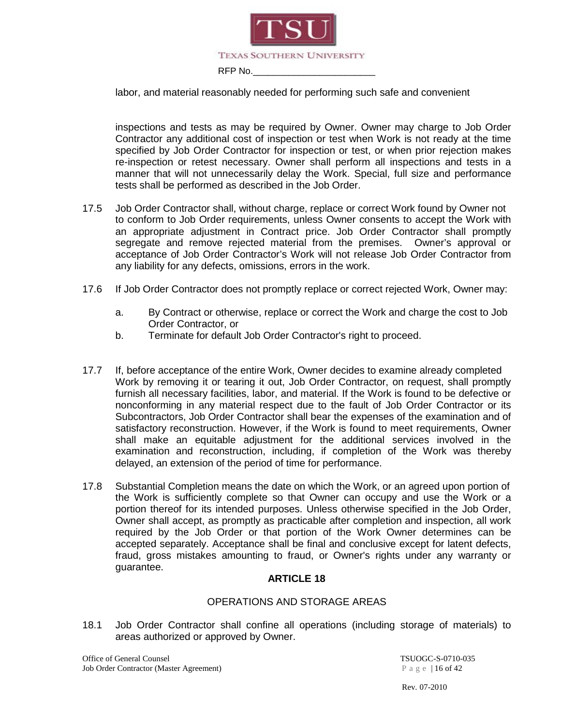

labor, and material reasonably needed for performing such safe and convenient

inspections and tests as may be required by Owner. Owner may charge to Job Order Contractor any additional cost of inspection or test when Work is not ready at the time specified by Job Order Contractor for inspection or test, or when prior rejection makes re-inspection or retest necessary. Owner shall perform all inspections and tests in a manner that will not unnecessarily delay the Work. Special, full size and performance tests shall be performed as described in the Job Order.

- 17.5 Job Order Contractor shall, without charge, replace or correct Work found by Owner not to conform to Job Order requirements, unless Owner consents to accept the Work with an appropriate adjustment in Contract price. Job Order Contractor shall promptly segregate and remove rejected material from the premises. Owner's approval or acceptance of Job Order Contractor's Work will not release Job Order Contractor from any liability for any defects, omissions, errors in the work.
- 17.6 If Job Order Contractor does not promptly replace or correct rejected Work, Owner may:
	- a. By Contract or otherwise, replace or correct the Work and charge the cost to Job Order Contractor, or
	- b. Terminate for default Job Order Contractor's right to proceed.
- 17.7 If, before acceptance of the entire Work, Owner decides to examine already completed Work by removing it or tearing it out, Job Order Contractor, on request, shall promptly furnish all necessary facilities, labor, and material. If the Work is found to be defective or nonconforming in any material respect due to the fault of Job Order Contractor or its Subcontractors, Job Order Contractor shall bear the expenses of the examination and of satisfactory reconstruction. However, if the Work is found to meet requirements, Owner shall make an equitable adjustment for the additional services involved in the examination and reconstruction, including, if completion of the Work was thereby delayed, an extension of the period of time for performance.
- 17.8 Substantial Completion means the date on which the Work, or an agreed upon portion of the Work is sufficiently complete so that Owner can occupy and use the Work or a portion thereof for its intended purposes. Unless otherwise specified in the Job Order, Owner shall accept, as promptly as practicable after completion and inspection, all work required by the Job Order or that portion of the Work Owner determines can be accepted separately. Acceptance shall be final and conclusive except for latent defects, fraud, gross mistakes amounting to fraud, or Owner's rights under any warranty or guarantee.

#### **ARTICLE 18**

#### OPERATIONS AND STORAGE AREAS

18.1 Job Order Contractor shall confine all operations (including storage of materials) to areas authorized or approved by Owner.

Office of General Counsel TSUOGC-S-0710-035 Job Order Contractor (Master Agreement) Page | 16 of 42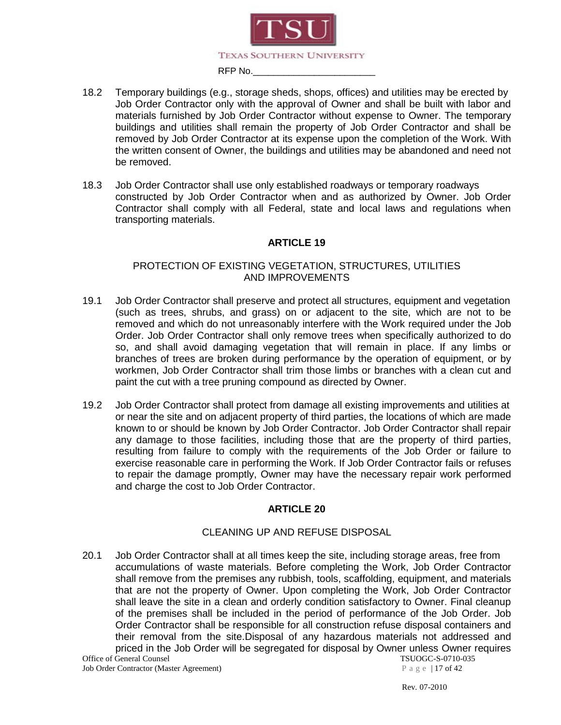

- 18.2 Temporary buildings (e.g., storage sheds, shops, offices) and utilities may be erected by Job Order Contractor only with the approval of Owner and shall be built with labor and materials furnished by Job Order Contractor without expense to Owner. The temporary buildings and utilities shall remain the property of Job Order Contractor and shall be removed by Job Order Contractor at its expense upon the completion of the Work. With the written consent of Owner, the buildings and utilities may be abandoned and need not be removed.
- 18.3 Job Order Contractor shall use only established roadways or temporary roadways constructed by Job Order Contractor when and as authorized by Owner. Job Order Contractor shall comply with all Federal, state and local laws and regulations when transporting materials.

#### PROTECTION OF EXISTING VEGETATION, STRUCTURES, UTILITIES AND IMPROVEMENTS

- 19.1 Job Order Contractor shall preserve and protect all structures, equipment and vegetation (such as trees, shrubs, and grass) on or adjacent to the site, which are not to be removed and which do not unreasonably interfere with the Work required under the Job Order. Job Order Contractor shall only remove trees when specifically authorized to do so, and shall avoid damaging vegetation that will remain in place. If any limbs or branches of trees are broken during performance by the operation of equipment, or by workmen, Job Order Contractor shall trim those limbs or branches with a clean cut and paint the cut with a tree pruning compound as directed by Owner.
- 19.2 Job Order Contractor shall protect from damage all existing improvements and utilities at or near the site and on adjacent property of third parties, the locations of which are made known to or should be known by Job Order Contractor. Job Order Contractor shall repair any damage to those facilities, including those that are the property of third parties, resulting from failure to comply with the requirements of the Job Order or failure to exercise reasonable care in performing the Work. If Job Order Contractor fails or refuses to repair the damage promptly, Owner may have the necessary repair work performed and charge the cost to Job Order Contractor.

#### **ARTICLE 20**

#### CLEANING UP AND REFUSE DISPOSAL

20.1 Job Order Contractor shall at all times keep the site, including storage areas, free from accumulations of waste materials. Before completing the Work, Job Order Contractor shall remove from the premises any rubbish, tools, scaffolding, equipment, and materials that are not the property of Owner. Upon completing the Work, Job Order Contractor shall leave the site in a clean and orderly condition satisfactory to Owner. Final cleanup of the premises shall be included in the period of performance of the Job Order. Job Order Contractor shall be responsible for all construction refuse disposal containers and their removal from the site.Disposal of any hazardous materials not addressed and priced in the Job Order will be segregated for disposal by Owner unless Owner requires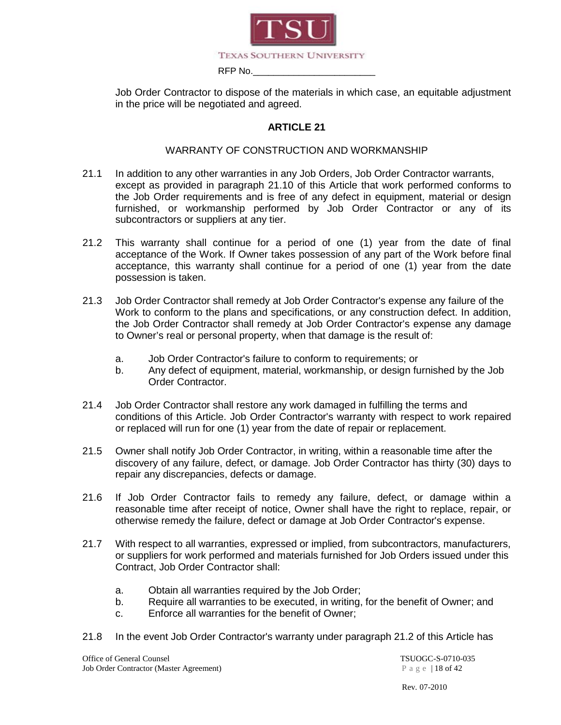

Job Order Contractor to dispose of the materials in which case, an equitable adjustment in the price will be negotiated and agreed.

#### **ARTICLE 21**

#### WARRANTY OF CONSTRUCTION AND WORKMANSHIP

- 21.1 In addition to any other warranties in any Job Orders, Job Order Contractor warrants, except as provided in paragraph 21.10 of this Article that work performed conforms to the Job Order requirements and is free of any defect in equipment, material or design furnished, or workmanship performed by Job Order Contractor or any of its subcontractors or suppliers at any tier.
- 21.2 This warranty shall continue for a period of one (1) year from the date of final acceptance of the Work. If Owner takes possession of any part of the Work before final acceptance, this warranty shall continue for a period of one (1) year from the date possession is taken.
- 21.3 Job Order Contractor shall remedy at Job Order Contractor's expense any failure of the Work to conform to the plans and specifications, or any construction defect. In addition, the Job Order Contractor shall remedy at Job Order Contractor's expense any damage to Owner's real or personal property, when that damage is the result of:
	- a. Job Order Contractor's failure to conform to requirements; or
	- b. Any defect of equipment, material, workmanship, or design furnished by the Job Order Contractor.
- 21.4 Job Order Contractor shall restore any work damaged in fulfilling the terms and conditions of this Article. Job Order Contractor's warranty with respect to work repaired or replaced will run for one (1) year from the date of repair or replacement.
- 21.5 Owner shall notify Job Order Contractor, in writing, within a reasonable time after the discovery of any failure, defect, or damage. Job Order Contractor has thirty (30) days to repair any discrepancies, defects or damage.
- 21.6 If Job Order Contractor fails to remedy any failure, defect, or damage within a reasonable time after receipt of notice, Owner shall have the right to replace, repair, or otherwise remedy the failure, defect or damage at Job Order Contractor's expense.
- 21.7 With respect to all warranties, expressed or implied, from subcontractors, manufacturers, or suppliers for work performed and materials furnished for Job Orders issued under this Contract, Job Order Contractor shall:
	- a. Obtain all warranties required by the Job Order;
	- b. Require all warranties to be executed, in writing, for the benefit of Owner; and
	- c. Enforce all warranties for the benefit of Owner;
- 21.8 In the event Job Order Contractor's warranty under paragraph 21.2 of this Article has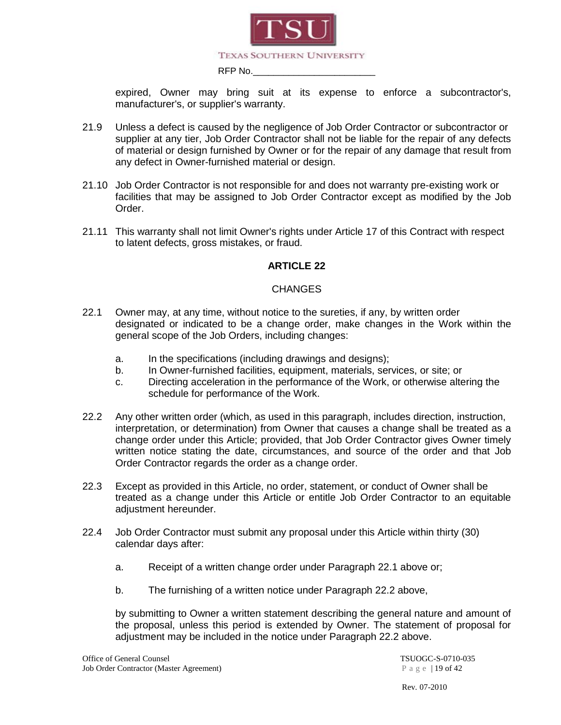

expired, Owner may bring suit at its expense to enforce a subcontractor's, manufacturer's, or supplier's warranty.

- 21.9 Unless a defect is caused by the negligence of Job Order Contractor or subcontractor or supplier at any tier, Job Order Contractor shall not be liable for the repair of any defects of material or design furnished by Owner or for the repair of any damage that result from any defect in Owner-furnished material or design.
- 21.10 Job Order Contractor is not responsible for and does not warranty pre-existing work or facilities that may be assigned to Job Order Contractor except as modified by the Job Order.
- 21.11 This warranty shall not limit Owner's rights under Article 17 of this Contract with respect to latent defects, gross mistakes, or fraud.

#### **ARTICLE 22**

#### **CHANGES**

- 22.1 Owner may, at any time, without notice to the sureties, if any, by written order designated or indicated to be a change order, make changes in the Work within the general scope of the Job Orders, including changes:
	- a. In the specifications (including drawings and designs);
	- b. In Owner-furnished facilities, equipment, materials, services, or site; or
	- c. Directing acceleration in the performance of the Work, or otherwise altering the schedule for performance of the Work.
- 22.2 Any other written order (which, as used in this paragraph, includes direction, instruction, interpretation, or determination) from Owner that causes a change shall be treated as a change order under this Article; provided, that Job Order Contractor gives Owner timely written notice stating the date, circumstances, and source of the order and that Job Order Contractor regards the order as a change order.
- 22.3 Except as provided in this Article, no order, statement, or conduct of Owner shall be treated as a change under this Article or entitle Job Order Contractor to an equitable adjustment hereunder.
- 22.4 Job Order Contractor must submit any proposal under this Article within thirty (30) calendar days after:
	- a. Receipt of a written change order under Paragraph 22.1 above or;
	- b. The furnishing of a written notice under Paragraph 22.2 above,

by submitting to Owner a written statement describing the general nature and amount of the proposal, unless this period is extended by Owner. The statement of proposal for adjustment may be included in the notice under Paragraph 22.2 above.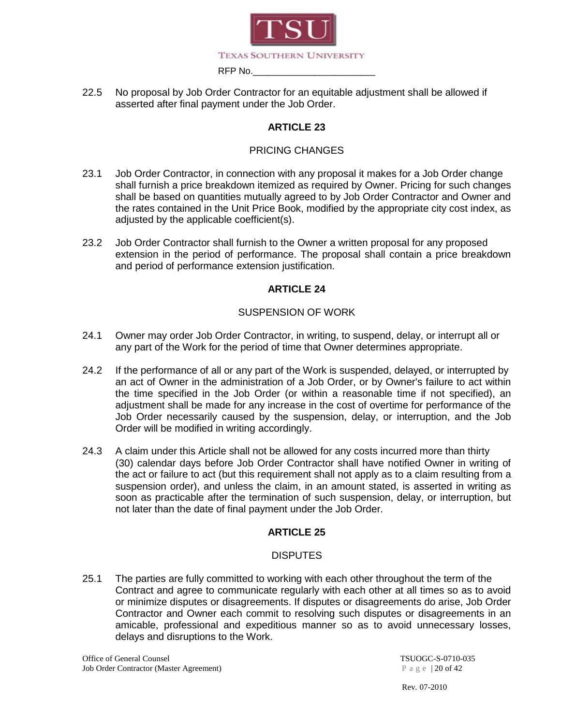

22.5 No proposal by Job Order Contractor for an equitable adjustment shall be allowed if asserted after final payment under the Job Order.

### **ARTICLE 23**

#### PRICING CHANGES

- 23.1 Job Order Contractor, in connection with any proposal it makes for a Job Order change shall furnish a price breakdown itemized as required by Owner. Pricing for such changes shall be based on quantities mutually agreed to by Job Order Contractor and Owner and the rates contained in the Unit Price Book, modified by the appropriate city cost index, as adjusted by the applicable coefficient(s).
- 23.2 Job Order Contractor shall furnish to the Owner a written proposal for any proposed extension in the period of performance. The proposal shall contain a price breakdown and period of performance extension justification.

#### **ARTICLE 24**

#### SUSPENSION OF WORK

- 24.1 Owner may order Job Order Contractor, in writing, to suspend, delay, or interrupt all or any part of the Work for the period of time that Owner determines appropriate.
- 24.2 If the performance of all or any part of the Work is suspended, delayed, or interrupted by an act of Owner in the administration of a Job Order, or by Owner's failure to act within the time specified in the Job Order (or within a reasonable time if not specified), an adjustment shall be made for any increase in the cost of overtime for performance of the Job Order necessarily caused by the suspension, delay, or interruption, and the Job Order will be modified in writing accordingly.
- 24.3 A claim under this Article shall not be allowed for any costs incurred more than thirty (30) calendar days before Job Order Contractor shall have notified Owner in writing of the act or failure to act (but this requirement shall not apply as to a claim resulting from a suspension order), and unless the claim, in an amount stated, is asserted in writing as soon as practicable after the termination of such suspension, delay, or interruption, but not later than the date of final payment under the Job Order.

#### **ARTICLE 25**

#### **DISPUTES**

25.1 The parties are fully committed to working with each other throughout the term of the Contract and agree to communicate regularly with each other at all times so as to avoid or minimize disputes or disagreements. If disputes or disagreements do arise, Job Order Contractor and Owner each commit to resolving such disputes or disagreements in an amicable, professional and expeditious manner so as to avoid unnecessary losses, delays and disruptions to the Work.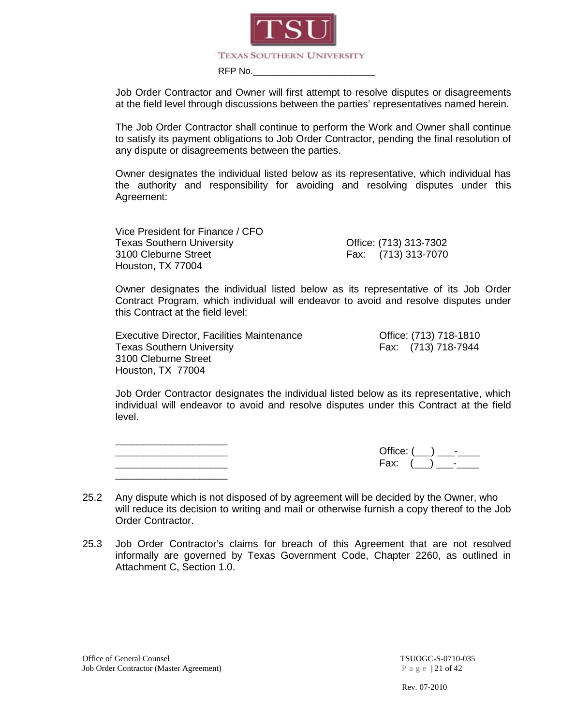

Job Order Contractor and Owner will first attempt to resolve disputes or disagreements at the field level through discussions between the parties' representatives named herein.

The Job Order Contractor shall continue to perform the Work and Owner shall continue to satisfy its payment obligations to Job Order Contractor, pending the final resolution of any dispute or disagreements between the parties.

Owner designates the individual listed below as its representative, which individual has the authority and responsibility for avoiding and resolving disputes under this Agreement:

Vice President for Finance / CFO Texas Southern University **Contact Contract Contract Contract Contract Contract Contract Contract Contract Contract Contract Contract Contract Contract Contract Contract Contract Contract Contract Contract Contract Contrac** 3100 Cleburne Street Fax: (713) 313-7070 Houston, TX 77004

Owner designates the individual listed below as its representative of its Job Order Contract Program, which individual will endeavor to avoid and resolve disputes under this Contract at the field level:

Executive Director, Facilities Maintenance Office: (713) 718-1810 Texas Southern University Fax: (713) 718-7944 3100 Cleburne Street Houston, TX 77004

Job Order Contractor designates the individual listed below as its representative, which individual will endeavor to avoid and resolve disputes under this Contract at the field level.

\_\_\_\_\_\_\_\_\_\_\_\_\_\_\_\_\_\_\_\_ \_\_\_\_\_\_\_\_\_\_\_\_\_\_\_\_\_\_\_\_ Office: (\_\_\_) \_\_\_-\_\_\_\_ \_\_\_\_\_\_\_\_\_\_\_\_\_\_\_\_\_\_\_\_ Fax: (\_\_\_) \_\_\_-\_\_\_\_ \_\_\_\_\_\_\_\_\_\_\_\_\_\_\_\_\_\_\_\_

- 25.2 Any dispute which is not disposed of by agreement will be decided by the Owner, who will reduce its decision to writing and mail or otherwise furnish a copy thereof to the Job Order Contractor.
- 25.3 Job Order Contractor's claims for breach of this Agreement that are not resolved informally are governed by Texas Government Code, Chapter 2260, as outlined in Attachment C, Section 1.0.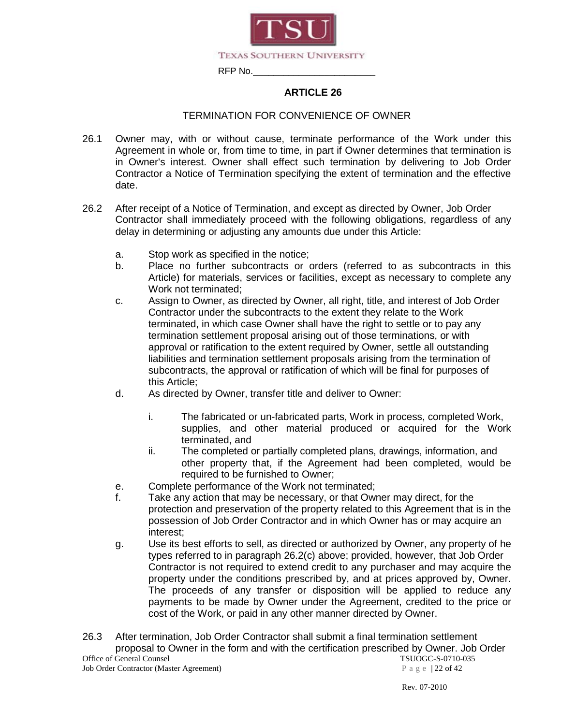

#### TERMINATION FOR CONVENIENCE OF OWNER

- 26.1 Owner may, with or without cause, terminate performance of the Work under this Agreement in whole or, from time to time, in part if Owner determines that termination is in Owner's interest. Owner shall effect such termination by delivering to Job Order Contractor a Notice of Termination specifying the extent of termination and the effective date.
- 26.2 After receipt of a Notice of Termination, and except as directed by Owner, Job Order Contractor shall immediately proceed with the following obligations, regardless of any delay in determining or adjusting any amounts due under this Article:
	- a. Stop work as specified in the notice;
	- b. Place no further subcontracts or orders (referred to as subcontracts in this Article) for materials, services or facilities, except as necessary to complete any Work not terminated;
	- c. Assign to Owner, as directed by Owner, all right, title, and interest of Job Order Contractor under the subcontracts to the extent they relate to the Work terminated, in which case Owner shall have the right to settle or to pay any termination settlement proposal arising out of those terminations, or with approval or ratification to the extent required by Owner, settle all outstanding liabilities and termination settlement proposals arising from the termination of subcontracts, the approval or ratification of which will be final for purposes of this Article;
	- d. As directed by Owner, transfer title and deliver to Owner:
		- i. The fabricated or un-fabricated parts, Work in process, completed Work, supplies, and other material produced or acquired for the Work terminated, and
		- ii. The completed or partially completed plans, drawings, information, and other property that, if the Agreement had been completed, would be required to be furnished to Owner;
	- e. Complete performance of the Work not terminated;
	- f. Take any action that may be necessary, or that Owner may direct, for the protection and preservation of the property related to this Agreement that is in the possession of Job Order Contractor and in which Owner has or may acquire an interest;
	- g. Use its best efforts to sell, as directed or authorized by Owner, any property of he types referred to in paragraph 26.2(c) above; provided, however, that Job Order Contractor is not required to extend credit to any purchaser and may acquire the property under the conditions prescribed by, and at prices approved by, Owner. The proceeds of any transfer or disposition will be applied to reduce any payments to be made by Owner under the Agreement, credited to the price or cost of the Work, or paid in any other manner directed by Owner.
- Office of General Counsel<br>
Job Order Contractor (Master Agreement) TSUOGC-S-0710-035<br>
P a g e |22 of 42 Job Order Contractor (Master Agreement) 26.3 After termination, Job Order Contractor shall submit a final termination settlement proposal to Owner in the form and with the certification prescribed by Owner. Job Order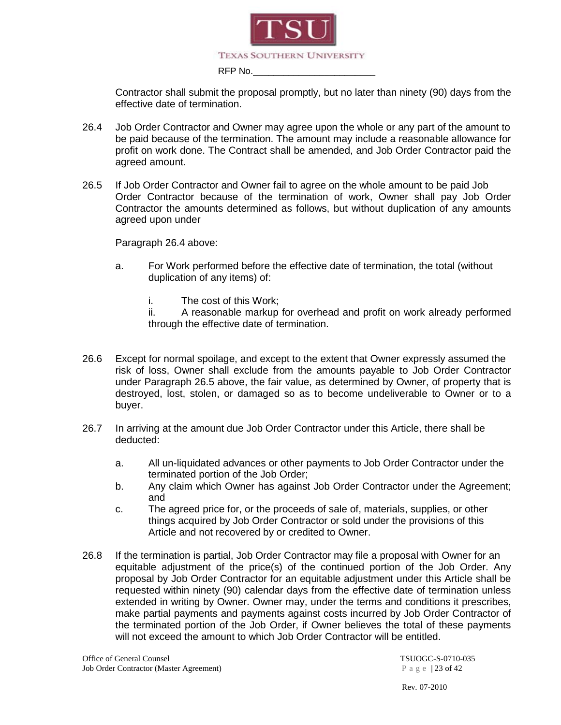

Contractor shall submit the proposal promptly, but no later than ninety (90) days from the effective date of termination.

- 26.4 Job Order Contractor and Owner may agree upon the whole or any part of the amount to be paid because of the termination. The amount may include a reasonable allowance for profit on work done. The Contract shall be amended, and Job Order Contractor paid the agreed amount.
- 26.5 If Job Order Contractor and Owner fail to agree on the whole amount to be paid Job Order Contractor because of the termination of work, Owner shall pay Job Order Contractor the amounts determined as follows, but without duplication of any amounts agreed upon under

Paragraph 26.4 above:

- a. For Work performed before the effective date of termination, the total (without duplication of any items) of:
	- i. The cost of this Work;
	- ii. A reasonable markup for overhead and profit on work already performed through the effective date of termination.
- 26.6 Except for normal spoilage, and except to the extent that Owner expressly assumed the risk of loss, Owner shall exclude from the amounts payable to Job Order Contractor under Paragraph 26.5 above, the fair value, as determined by Owner, of property that is destroyed, lost, stolen, or damaged so as to become undeliverable to Owner or to a buyer.
- 26.7 In arriving at the amount due Job Order Contractor under this Article, there shall be deducted:
	- a. All un-liquidated advances or other payments to Job Order Contractor under the terminated portion of the Job Order;
	- b. Any claim which Owner has against Job Order Contractor under the Agreement; and
	- c. The agreed price for, or the proceeds of sale of, materials, supplies, or other things acquired by Job Order Contractor or sold under the provisions of this Article and not recovered by or credited to Owner.
- 26.8 If the termination is partial, Job Order Contractor may file a proposal with Owner for an equitable adjustment of the price(s) of the continued portion of the Job Order. Any proposal by Job Order Contractor for an equitable adjustment under this Article shall be requested within ninety (90) calendar days from the effective date of termination unless extended in writing by Owner. Owner may, under the terms and conditions it prescribes, make partial payments and payments against costs incurred by Job Order Contractor of the terminated portion of the Job Order, if Owner believes the total of these payments will not exceed the amount to which Job Order Contractor will be entitled.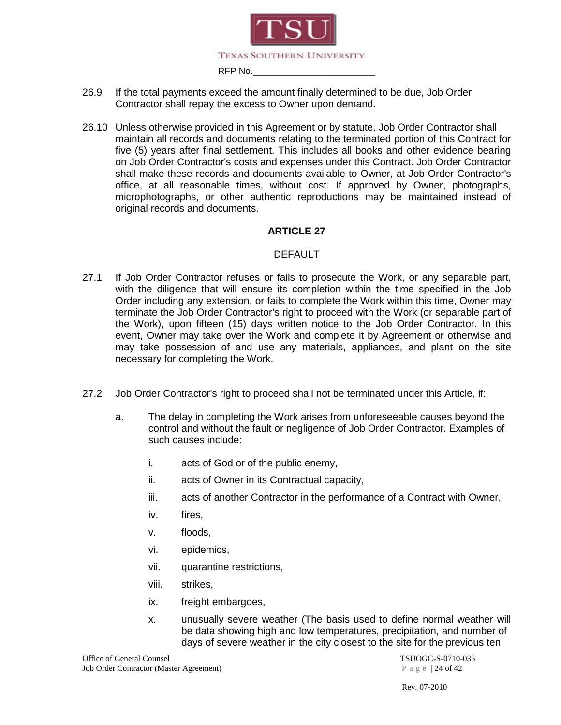

- 26.9 If the total payments exceed the amount finally determined to be due, Job Order Contractor shall repay the excess to Owner upon demand.
- 26.10 Unless otherwise provided in this Agreement or by statute, Job Order Contractor shall maintain all records and documents relating to the terminated portion of this Contract for five (5) years after final settlement. This includes all books and other evidence bearing on Job Order Contractor's costs and expenses under this Contract. Job Order Contractor shall make these records and documents available to Owner, at Job Order Contractor's office, at all reasonable times, without cost. If approved by Owner, photographs, microphotographs, or other authentic reproductions may be maintained instead of original records and documents.

#### DEFAULT

- 27.1 If Job Order Contractor refuses or fails to prosecute the Work, or any separable part, with the diligence that will ensure its completion within the time specified in the Job Order including any extension, or fails to complete the Work within this time, Owner may terminate the Job Order Contractor's right to proceed with the Work (or separable part of the Work), upon fifteen (15) days written notice to the Job Order Contractor. In this event, Owner may take over the Work and complete it by Agreement or otherwise and may take possession of and use any materials, appliances, and plant on the site necessary for completing the Work.
- 27.2 Job Order Contractor's right to proceed shall not be terminated under this Article, if:
	- a. The delay in completing the Work arises from unforeseeable causes beyond the control and without the fault or negligence of Job Order Contractor. Examples of such causes include:
		- i. acts of God or of the public enemy,
		- ii. acts of Owner in its Contractual capacity,
		- iii. acts of another Contractor in the performance of a Contract with Owner,
		- iv. fires,
		- v. floods,
		- vi. epidemics,
		- vii. quarantine restrictions,
		- viii. strikes,
		- ix. freight embargoes,
		- x. unusually severe weather (The basis used to define normal weather will be data showing high and low temperatures, precipitation, and number of days of severe weather in the city closest to the site for the previous ten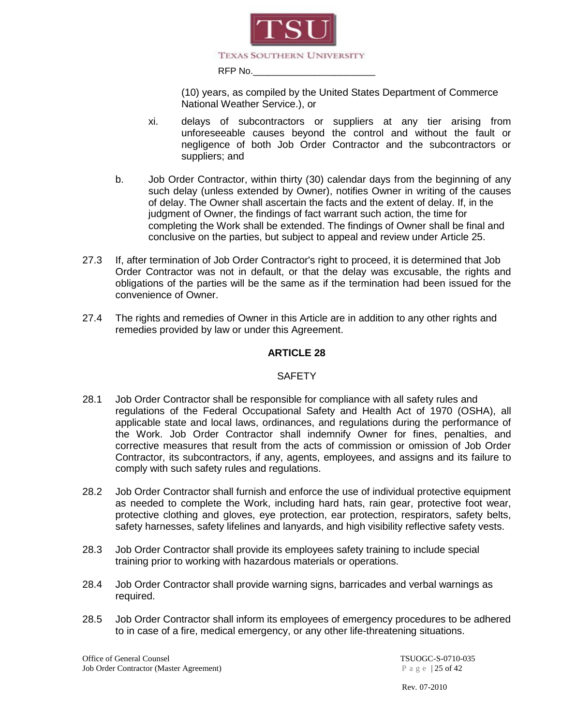

(10) years, as compiled by the United States Department of Commerce National Weather Service.), or

- xi. delays of subcontractors or suppliers at any tier arising from unforeseeable causes beyond the control and without the fault or negligence of both Job Order Contractor and the subcontractors or suppliers; and
- b. Job Order Contractor, within thirty (30) calendar days from the beginning of any such delay (unless extended by Owner), notifies Owner in writing of the causes of delay. The Owner shall ascertain the facts and the extent of delay. If, in the judgment of Owner, the findings of fact warrant such action, the time for completing the Work shall be extended. The findings of Owner shall be final and conclusive on the parties, but subject to appeal and review under Article 25.
- 27.3 If, after termination of Job Order Contractor's right to proceed, it is determined that Job Order Contractor was not in default, or that the delay was excusable, the rights and obligations of the parties will be the same as if the termination had been issued for the convenience of Owner.
- 27.4 The rights and remedies of Owner in this Article are in addition to any other rights and remedies provided by law or under this Agreement.

#### **ARTICLE 28**

#### **SAFETY**

- 28.1 Job Order Contractor shall be responsible for compliance with all safety rules and regulations of the Federal Occupational Safety and Health Act of 1970 (OSHA), all applicable state and local laws, ordinances, and regulations during the performance of the Work. Job Order Contractor shall indemnify Owner for fines, penalties, and corrective measures that result from the acts of commission or omission of Job Order Contractor, its subcontractors, if any, agents, employees, and assigns and its failure to comply with such safety rules and regulations.
- 28.2 Job Order Contractor shall furnish and enforce the use of individual protective equipment as needed to complete the Work, including hard hats, rain gear, protective foot wear, protective clothing and gloves, eye protection, ear protection, respirators, safety belts, safety harnesses, safety lifelines and lanyards, and high visibility reflective safety vests.
- 28.3 Job Order Contractor shall provide its employees safety training to include special training prior to working with hazardous materials or operations.
- 28.4 Job Order Contractor shall provide warning signs, barricades and verbal warnings as required.
- 28.5 Job Order Contractor shall inform its employees of emergency procedures to be adhered to in case of a fire, medical emergency, or any other life-threatening situations.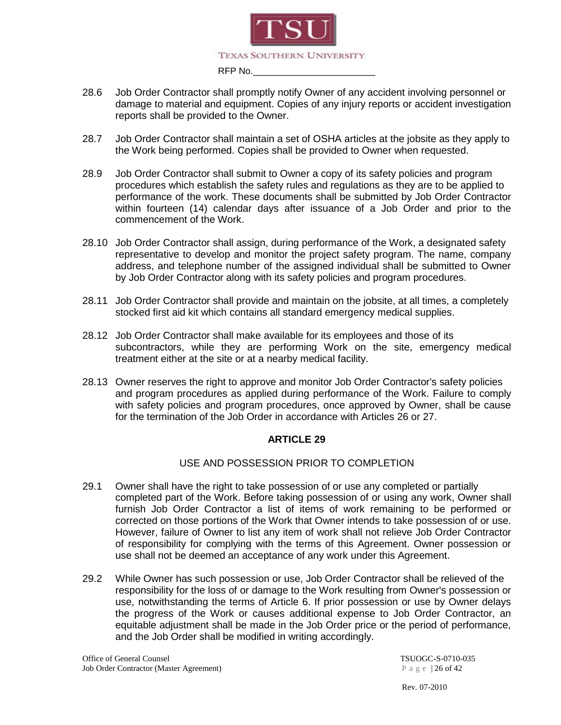

- 28.6 Job Order Contractor shall promptly notify Owner of any accident involving personnel or damage to material and equipment. Copies of any injury reports or accident investigation reports shall be provided to the Owner.
- 28.7 Job Order Contractor shall maintain a set of OSHA articles at the jobsite as they apply to the Work being performed. Copies shall be provided to Owner when requested.
- 28.9 Job Order Contractor shall submit to Owner a copy of its safety policies and program procedures which establish the safety rules and regulations as they are to be applied to performance of the work. These documents shall be submitted by Job Order Contractor within fourteen (14) calendar days after issuance of a Job Order and prior to the commencement of the Work.
- 28.10 Job Order Contractor shall assign, during performance of the Work, a designated safety representative to develop and monitor the project safety program. The name, company address, and telephone number of the assigned individual shall be submitted to Owner by Job Order Contractor along with its safety policies and program procedures.
- 28.11 Job Order Contractor shall provide and maintain on the jobsite, at all times, a completely stocked first aid kit which contains all standard emergency medical supplies.
- 28.12 Job Order Contractor shall make available for its employees and those of its subcontractors, while they are performing Work on the site, emergency medical treatment either at the site or at a nearby medical facility.
- 28.13 Owner reserves the right to approve and monitor Job Order Contractor's safety policies and program procedures as applied during performance of the Work. Failure to comply with safety policies and program procedures, once approved by Owner, shall be cause for the termination of the Job Order in accordance with Articles 26 or 27.

#### USE AND POSSESSION PRIOR TO COMPLETION

- 29.1 Owner shall have the right to take possession of or use any completed or partially completed part of the Work. Before taking possession of or using any work, Owner shall furnish Job Order Contractor a list of items of work remaining to be performed or corrected on those portions of the Work that Owner intends to take possession of or use. However, failure of Owner to list any item of work shall not relieve Job Order Contractor of responsibility for complying with the terms of this Agreement. Owner possession or use shall not be deemed an acceptance of any work under this Agreement.
- 29.2 While Owner has such possession or use, Job Order Contractor shall be relieved of the responsibility for the loss of or damage to the Work resulting from Owner's possession or use, notwithstanding the terms of Article 6. If prior possession or use by Owner delays the progress of the Work or causes additional expense to Job Order Contractor, an equitable adjustment shall be made in the Job Order price or the period of performance, and the Job Order shall be modified in writing accordingly.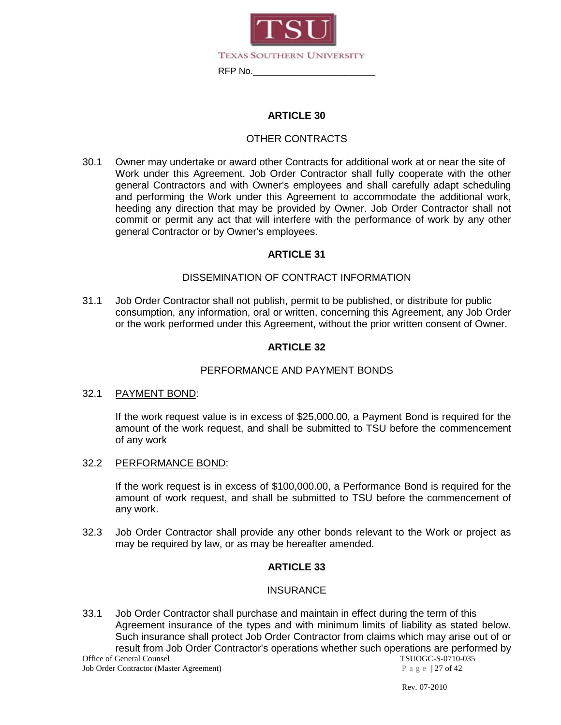

#### OTHER CONTRACTS

30.1 Owner may undertake or award other Contracts for additional work at or near the site of Work under this Agreement. Job Order Contractor shall fully cooperate with the other general Contractors and with Owner's employees and shall carefully adapt scheduling and performing the Work under this Agreement to accommodate the additional work, heeding any direction that may be provided by Owner. Job Order Contractor shall not commit or permit any act that will interfere with the performance of work by any other general Contractor or by Owner's employees.

#### **ARTICLE 31**

#### DISSEMINATION OF CONTRACT INFORMATION

31.1 Job Order Contractor shall not publish, permit to be published, or distribute for public consumption, any information, oral or written, concerning this Agreement, any Job Order or the work performed under this Agreement, without the prior written consent of Owner.

#### **ARTICLE 32**

#### PERFORMANCE AND PAYMENT BONDS

#### 32.1 PAYMENT BOND:

If the work request value is in excess of \$25,000.00, a Payment Bond is required for the amount of the work request, and shall be submitted to TSU before the commencement of any work

#### 32.2 PERFORMANCE BOND:

If the work request is in excess of \$100,000.00, a Performance Bond is required for the amount of work request, and shall be submitted to TSU before the commencement of any work.

32.3 Job Order Contractor shall provide any other bonds relevant to the Work or project as may be required by law, or as may be hereafter amended.

#### **ARTICLE 33**

#### INSURANCE

Office of General Counsel<br>
Job Order Contractor (Master Agreement) TSUOGC-S-0710-035<br>
Page | 27 of 42 33.1 Job Order Contractor shall purchase and maintain in effect during the term of this Agreement insurance of the types and with minimum limits of liability as stated below. Such insurance shall protect Job Order Contractor from claims which may arise out of or result from Job Order Contractor's operations whether such operations are performed by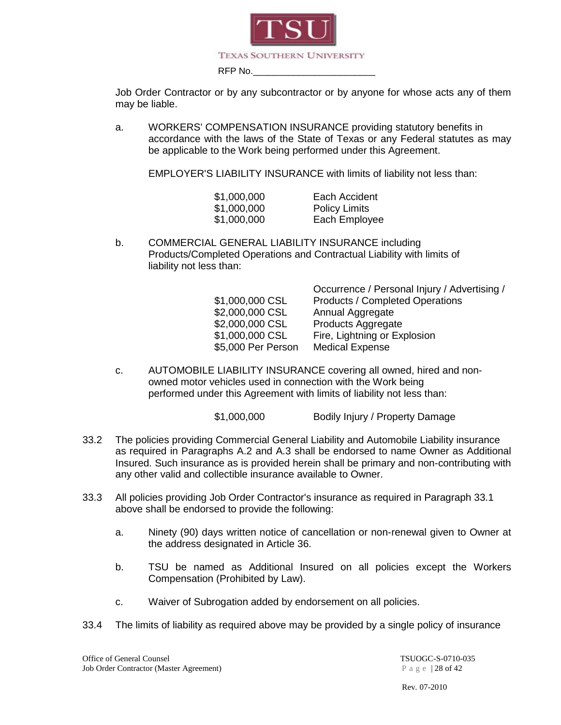

Job Order Contractor or by any subcontractor or by anyone for whose acts any of them may be liable.

a. WORKERS' COMPENSATION INSURANCE providing statutory benefits in accordance with the laws of the State of Texas or any Federal statutes as may be applicable to the Work being performed under this Agreement.

EMPLOYER'S LIABILITY INSURANCE with limits of liability not less than:

| \$1,000,000 | Each Accident        |
|-------------|----------------------|
| \$1,000,000 | <b>Policy Limits</b> |
| \$1,000,000 | Each Employee        |

b. COMMERCIAL GENERAL LIABILITY INSURANCE including Products/Completed Operations and Contractual Liability with limits of liability not less than:

|                    | Occurrence / Personal Injury / Advertising / |
|--------------------|----------------------------------------------|
| \$1,000,000 CSL    | <b>Products / Completed Operations</b>       |
| \$2,000,000 CSL    | Annual Aggregate                             |
| \$2,000,000 CSL    | Products Aggregate                           |
| \$1,000,000 CSL    | Fire, Lightning or Explosion                 |
| \$5,000 Per Person | <b>Medical Expense</b>                       |
|                    |                                              |

c. AUTOMOBILE LIABILITY INSURANCE covering all owned, hired and nonowned motor vehicles used in connection with the Work being performed under this Agreement with limits of liability not less than:

\$1,000,000 Bodily Injury / Property Damage

- 33.2 The policies providing Commercial General Liability and Automobile Liability insurance as required in Paragraphs A.2 and A.3 shall be endorsed to name Owner as Additional Insured. Such insurance as is provided herein shall be primary and non-contributing with any other valid and collectible insurance available to Owner.
- 33.3 All policies providing Job Order Contractor's insurance as required in Paragraph 33.1 above shall be endorsed to provide the following:
	- a. Ninety (90) days written notice of cancellation or non-renewal given to Owner at the address designated in Article 36.
	- b. TSU be named as Additional Insured on all policies except the Workers Compensation (Prohibited by Law).
	- c. Waiver of Subrogation added by endorsement on all policies.
- 33.4 The limits of liability as required above may be provided by a single policy of insurance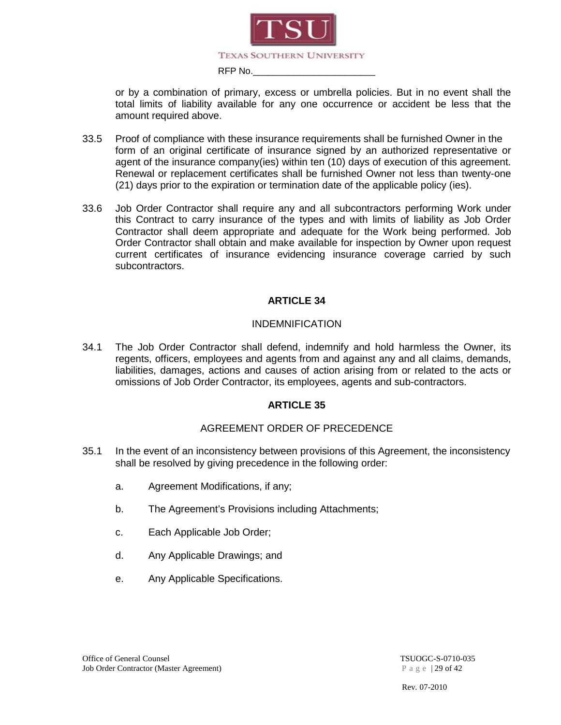

or by a combination of primary, excess or umbrella policies. But in no event shall the total limits of liability available for any one occurrence or accident be less that the amount required above.

- 33.5 Proof of compliance with these insurance requirements shall be furnished Owner in the form of an original certificate of insurance signed by an authorized representative or agent of the insurance company(ies) within ten (10) days of execution of this agreement. Renewal or replacement certificates shall be furnished Owner not less than twenty-one (21) days prior to the expiration or termination date of the applicable policy (ies).
- 33.6 Job Order Contractor shall require any and all subcontractors performing Work under this Contract to carry insurance of the types and with limits of liability as Job Order Contractor shall deem appropriate and adequate for the Work being performed. Job Order Contractor shall obtain and make available for inspection by Owner upon request current certificates of insurance evidencing insurance coverage carried by such subcontractors.

#### **ARTICLE 34**

#### INDEMNIFICATION

34.1 The Job Order Contractor shall defend, indemnify and hold harmless the Owner, its regents, officers, employees and agents from and against any and all claims, demands, liabilities, damages, actions and causes of action arising from or related to the acts or omissions of Job Order Contractor, its employees, agents and sub-contractors.

#### **ARTICLE 35**

#### AGREEMENT ORDER OF PRECEDENCE

- 35.1 In the event of an inconsistency between provisions of this Agreement, the inconsistency shall be resolved by giving precedence in the following order:
	- a. Agreement Modifications, if any;
	- b. The Agreement's Provisions including Attachments;
	- c. Each Applicable Job Order;
	- d. Any Applicable Drawings; and
	- e. Any Applicable Specifications.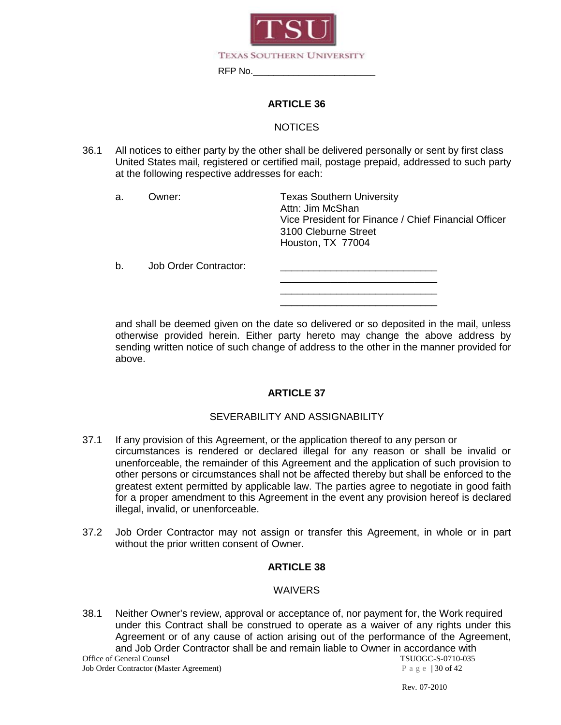

#### **NOTICES**

36.1 All notices to either party by the other shall be delivered personally or sent by first class United States mail, registered or certified mail, postage prepaid, addressed to such party at the following respective addresses for each:

a. Owner: Texas Southern University Attn: Jim McShan Vice President for Finance / Chief Financial Officer 3100 Cleburne Street Houston, TX 77004

| b. | Job Order Contractor: |  |
|----|-----------------------|--|
|    |                       |  |
|    |                       |  |

and shall be deemed given on the date so delivered or so deposited in the mail, unless otherwise provided herein. Either party hereto may change the above address by sending written notice of such change of address to the other in the manner provided for above.

#### **ARTICLE 37**

#### SEVERABILITY AND ASSIGNABILITY

- 37.1 If any provision of this Agreement, or the application thereof to any person or circumstances is rendered or declared illegal for any reason or shall be invalid or unenforceable, the remainder of this Agreement and the application of such provision to other persons or circumstances shall not be affected thereby but shall be enforced to the greatest extent permitted by applicable law. The parties agree to negotiate in good faith for a proper amendment to this Agreement in the event any provision hereof is declared illegal, invalid, or unenforceable.
- 37.2 Job Order Contractor may not assign or transfer this Agreement, in whole or in part without the prior written consent of Owner.

#### **ARTICLE 38**

#### **WAIVERS**

38.1 Neither Owner's review, approval or acceptance of, nor payment for, the Work required under this Contract shall be construed to operate as a waiver of any rights under this Agreement or of any cause of action arising out of the performance of the Agreement, and Job Order Contractor shall be and remain liable to Owner in accordance with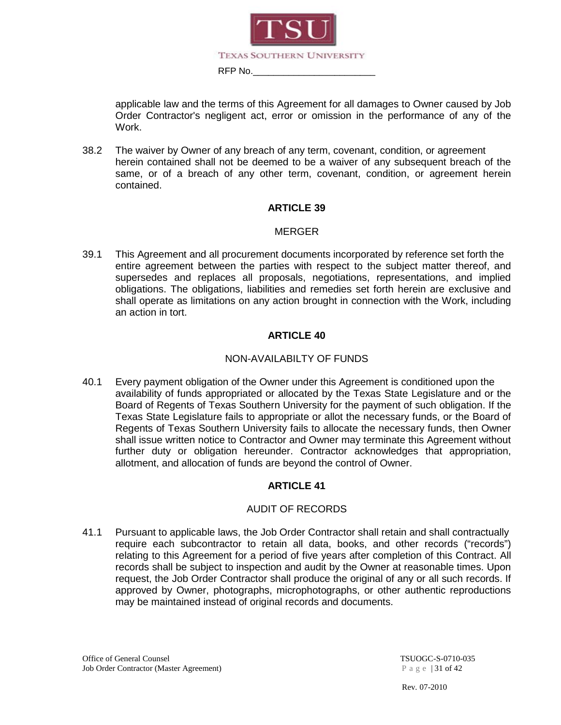

applicable law and the terms of this Agreement for all damages to Owner caused by Job Order Contractor's negligent act, error or omission in the performance of any of the Work.

38.2 The waiver by Owner of any breach of any term, covenant, condition, or agreement herein contained shall not be deemed to be a waiver of any subsequent breach of the same, or of a breach of any other term, covenant, condition, or agreement herein contained.

#### **ARTICLE 39**

#### MERGER

39.1 This Agreement and all procurement documents incorporated by reference set forth the entire agreement between the parties with respect to the subject matter thereof, and supersedes and replaces all proposals, negotiations, representations, and implied obligations. The obligations, liabilities and remedies set forth herein are exclusive and shall operate as limitations on any action brought in connection with the Work, including an action in tort.

#### **ARTICLE 40**

#### NON-AVAILABILTY OF FUNDS

40.1 Every payment obligation of the Owner under this Agreement is conditioned upon the availability of funds appropriated or allocated by the Texas State Legislature and or the Board of Regents of Texas Southern University for the payment of such obligation. If the Texas State Legislature fails to appropriate or allot the necessary funds, or the Board of Regents of Texas Southern University fails to allocate the necessary funds, then Owner shall issue written notice to Contractor and Owner may terminate this Agreement without further duty or obligation hereunder. Contractor acknowledges that appropriation, allotment, and allocation of funds are beyond the control of Owner.

#### **ARTICLE 41**

#### AUDIT OF RECORDS

41.1 Pursuant to applicable laws, the Job Order Contractor shall retain and shall contractually require each subcontractor to retain all data, books, and other records ("records") relating to this Agreement for a period of five years after completion of this Contract. All records shall be subject to inspection and audit by the Owner at reasonable times. Upon request, the Job Order Contractor shall produce the original of any or all such records. If approved by Owner, photographs, microphotographs, or other authentic reproductions may be maintained instead of original records and documents.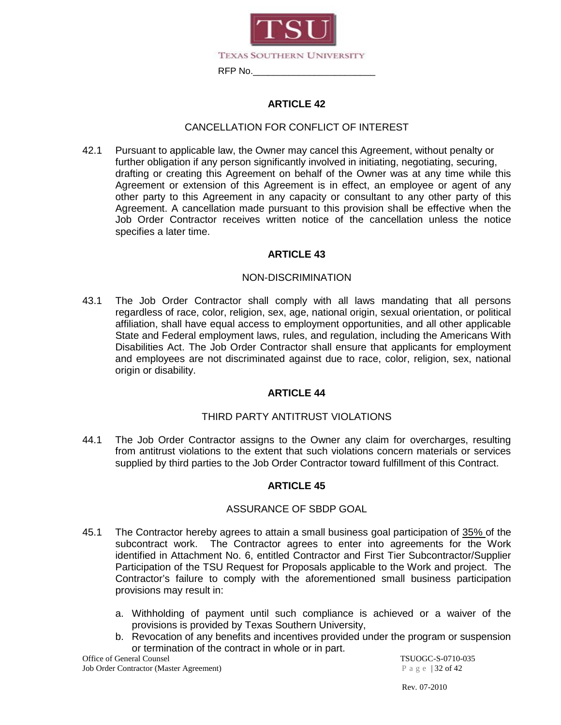

#### CANCELLATION FOR CONFLICT OF INTEREST

42.1 Pursuant to applicable law, the Owner may cancel this Agreement, without penalty or further obligation if any person significantly involved in initiating, negotiating, securing, drafting or creating this Agreement on behalf of the Owner was at any time while this Agreement or extension of this Agreement is in effect, an employee or agent of any other party to this Agreement in any capacity or consultant to any other party of this Agreement. A cancellation made pursuant to this provision shall be effective when the Job Order Contractor receives written notice of the cancellation unless the notice specifies a later time.

#### **ARTICLE 43**

#### NON-DISCRIMINATION

43.1 The Job Order Contractor shall comply with all laws mandating that all persons regardless of race, color, religion, sex, age, national origin, sexual orientation, or political affiliation, shall have equal access to employment opportunities, and all other applicable State and Federal employment laws, rules, and regulation, including the Americans With Disabilities Act. The Job Order Contractor shall ensure that applicants for employment and employees are not discriminated against due to race, color, religion, sex, national origin or disability.

#### **ARTICLE 44**

#### THIRD PARTY ANTITRUST VIOLATIONS

44.1 The Job Order Contractor assigns to the Owner any claim for overcharges, resulting from antitrust violations to the extent that such violations concern materials or services supplied by third parties to the Job Order Contractor toward fulfillment of this Contract.

#### **ARTICLE 45**

#### ASSURANCE OF SBDP GOAL

- 45.1 The Contractor hereby agrees to attain a small business goal participation of 35% of the subcontract work. The Contractor agrees to enter into agreements for the Work identified in Attachment No. 6, entitled Contractor and First Tier Subcontractor/Supplier Participation of the TSU Request for Proposals applicable to the Work and project. The Contractor's failure to comply with the aforementioned small business participation provisions may result in:
	- a. Withholding of payment until such compliance is achieved or a waiver of the provisions is provided by Texas Southern University,
	- b. Revocation of any benefits and incentives provided under the program or suspension or termination of the contract in whole or in part.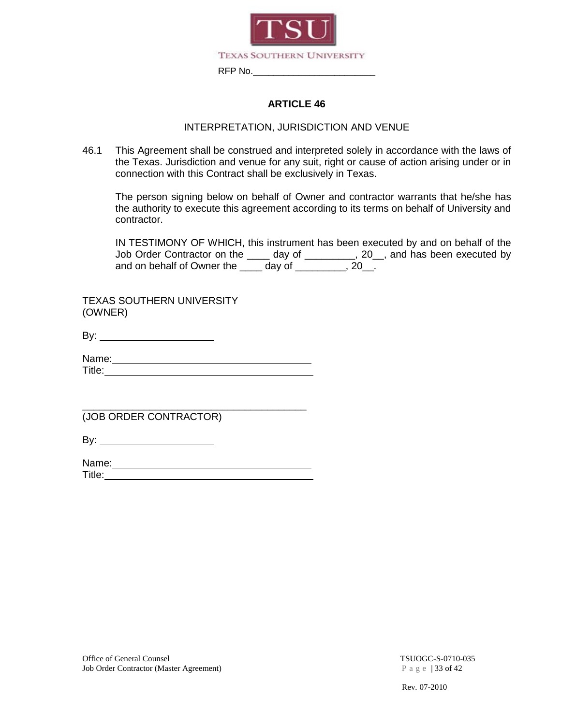

#### INTERPRETATION, JURISDICTION AND VENUE

46.1 This Agreement shall be construed and interpreted solely in accordance with the laws of the Texas. Jurisdiction and venue for any suit, right or cause of action arising under or in connection with this Contract shall be exclusively in Texas.

The person signing below on behalf of Owner and contractor warrants that he/she has the authority to execute this agreement according to its terms on behalf of University and contractor.

IN TESTIMONY OF WHICH, this instrument has been executed by and on behalf of the Job Order Contractor on the \_\_\_\_ day of \_\_\_\_\_\_\_\_, 20\_, and has been executed by and on behalf of Owner the \_\_\_\_ day of \_\_\_\_\_\_\_\_, 20\_.

TEXAS SOUTHERN UNIVERSITY (OWNER)

By:

Name: Title:

\_\_\_\_\_\_\_\_\_\_\_\_\_\_\_\_\_\_\_\_\_\_\_\_\_\_\_\_\_\_\_\_\_\_\_\_\_\_\_\_ (JOB ORDER CONTRACTOR)

By:

Name: Title: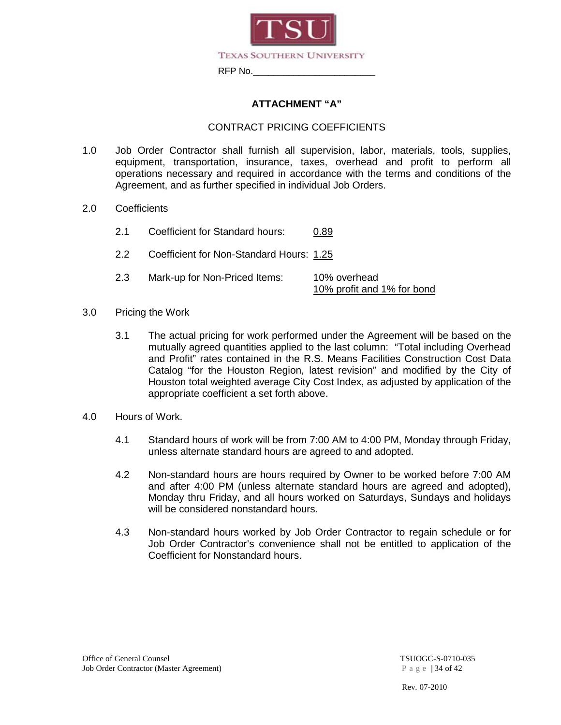

#### **ATTACHMENT "A"**

#### CONTRACT PRICING COEFFICIENTS

- 1.0 Job Order Contractor shall furnish all supervision, labor, materials, tools, supplies, equipment, transportation, insurance, taxes, overhead and profit to perform all operations necessary and required in accordance with the terms and conditions of the Agreement, and as further specified in individual Job Orders.
- 2.0 Coefficients
	- 2.1 Coefficient for Standard hours: 0.89
	- 2.2 Coefficient for Non-Standard Hours: 1.25
	- 2.3 Mark-up for Non-Priced Items: 10% overhead 10% profit and 1% for bond
- 3.0 Pricing the Work
	- 3.1 The actual pricing for work performed under the Agreement will be based on the mutually agreed quantities applied to the last column: "Total including Overhead and Profit" rates contained in the R.S. Means Facilities Construction Cost Data Catalog "for the Houston Region, latest revision" and modified by the City of Houston total weighted average City Cost Index, as adjusted by application of the appropriate coefficient a set forth above.
- 4.0 Hours of Work.
	- 4.1 Standard hours of work will be from 7:00 AM to 4:00 PM, Monday through Friday, unless alternate standard hours are agreed to and adopted.
	- 4.2 Non-standard hours are hours required by Owner to be worked before 7:00 AM and after 4:00 PM (unless alternate standard hours are agreed and adopted), Monday thru Friday, and all hours worked on Saturdays, Sundays and holidays will be considered nonstandard hours.
	- 4.3 Non-standard hours worked by Job Order Contractor to regain schedule or for Job Order Contractor's convenience shall not be entitled to application of the Coefficient for Nonstandard hours.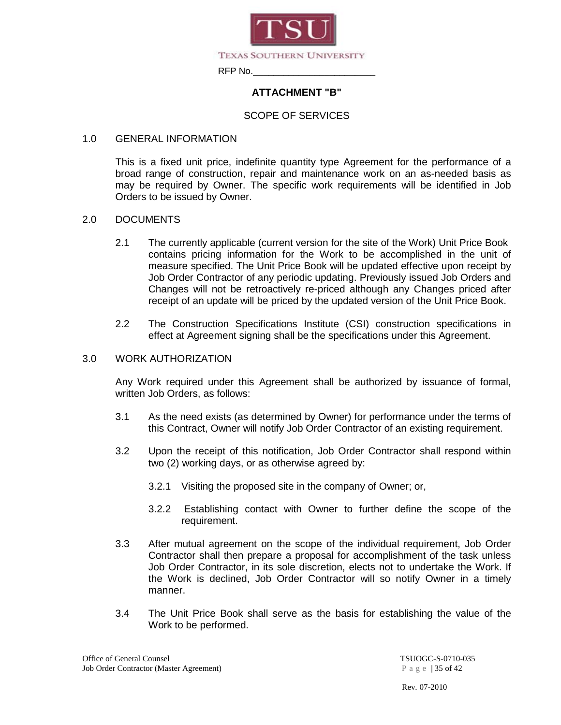

#### **ATTACHMENT "B"**

#### SCOPE OF SERVICES

#### 1.0 GENERAL INFORMATION

This is a fixed unit price, indefinite quantity type Agreement for the performance of a broad range of construction, repair and maintenance work on an as-needed basis as may be required by Owner. The specific work requirements will be identified in Job Orders to be issued by Owner.

#### 2.0 DOCUMENTS

- 2.1 The currently applicable (current version for the site of the Work) Unit Price Book contains pricing information for the Work to be accomplished in the unit of measure specified. The Unit Price Book will be updated effective upon receipt by Job Order Contractor of any periodic updating. Previously issued Job Orders and Changes will not be retroactively re-priced although any Changes priced after receipt of an update will be priced by the updated version of the Unit Price Book.
- 2.2 The Construction Specifications Institute (CSI) construction specifications in effect at Agreement signing shall be the specifications under this Agreement.

#### 3.0 WORK AUTHORIZATION

Any Work required under this Agreement shall be authorized by issuance of formal, written Job Orders, as follows:

- 3.1 As the need exists (as determined by Owner) for performance under the terms of this Contract, Owner will notify Job Order Contractor of an existing requirement.
- 3.2 Upon the receipt of this notification, Job Order Contractor shall respond within two (2) working days, or as otherwise agreed by:
	- 3.2.1 Visiting the proposed site in the company of Owner; or,
	- 3.2.2 Establishing contact with Owner to further define the scope of the requirement.
- 3.3 After mutual agreement on the scope of the individual requirement, Job Order Contractor shall then prepare a proposal for accomplishment of the task unless Job Order Contractor, in its sole discretion, elects not to undertake the Work. If the Work is declined, Job Order Contractor will so notify Owner in a timely manner.
- 3.4 The Unit Price Book shall serve as the basis for establishing the value of the Work to be performed.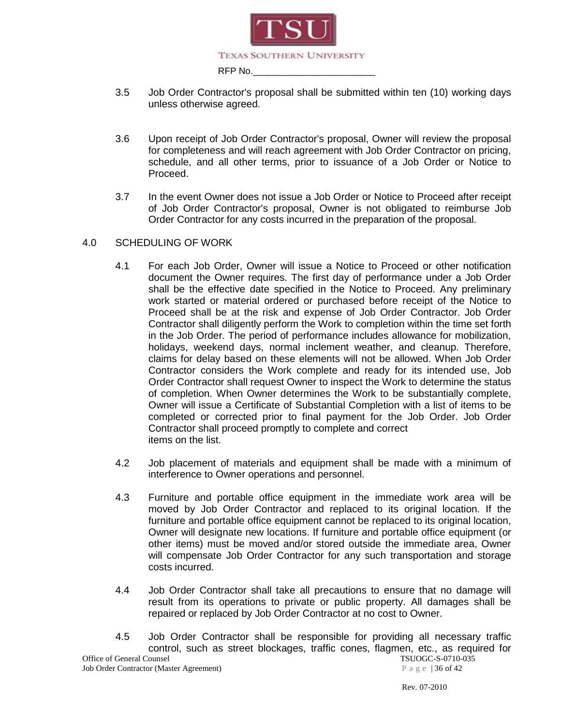

- 3.5 Job Order Contractor's proposal shall be submitted within ten (10) working days unless otherwise agreed.
- 3.6 Upon receipt of Job Order Contractor's proposal, Owner will review the proposal for completeness and will reach agreement with Job Order Contractor on pricing, schedule, and all other terms, prior to issuance of a Job Order or Notice to Proceed.
- 3.7 In the event Owner does not issue a Job Order or Notice to Proceed after receipt of Job Order Contractor's proposal, Owner is not obligated to reimburse Job Order Contractor for any costs incurred in the preparation of the proposal.

#### 4.0 SCHEDULING OF WORK

- 4.1 For each Job Order, Owner will issue a Notice to Proceed or other notification document the Owner requires. The first day of performance under a Job Order shall be the effective date specified in the Notice to Proceed. Any preliminary work started or material ordered or purchased before receipt of the Notice to Proceed shall be at the risk and expense of Job Order Contractor. Job Order Contractor shall diligently perform the Work to completion within the time set forth in the Job Order. The period of performance includes allowance for mobilization, holidays, weekend days, normal inclement weather, and cleanup. Therefore, claims for delay based on these elements will not be allowed. When Job Order Contractor considers the Work complete and ready for its intended use, Job Order Contractor shall request Owner to inspect the Work to determine the status of completion. When Owner determines the Work to be substantially complete, Owner will issue a Certificate of Substantial Completion with a list of items to be completed or corrected prior to final payment for the Job Order. Job Order Contractor shall proceed promptly to complete and correct items on the list.
- 4.2 Job placement of materials and equipment shall be made with a minimum of interference to Owner operations and personnel.
- 4.3 Furniture and portable office equipment in the immediate work area will be moved by Job Order Contractor and replaced to its original location. If the furniture and portable office equipment cannot be replaced to its original location, Owner will designate new locations. If furniture and portable office equipment (or other items) must be moved and/or stored outside the immediate area, Owner will compensate Job Order Contractor for any such transportation and storage costs incurred.
- 4.4 Job Order Contractor shall take all precautions to ensure that no damage will result from its operations to private or public property. All damages shall be repaired or replaced by Job Order Contractor at no cost to Owner.
- Office of General Counsel<br>
Job Order Contractor (Master Agreement)<br>  $P \text{ a } g \text{ e } | 36 \text{ of } 42$ 4.5 Job Order Contractor shall be responsible for providing all necessary traffic control, such as street blockages, traffic cones, flagmen, etc., as required for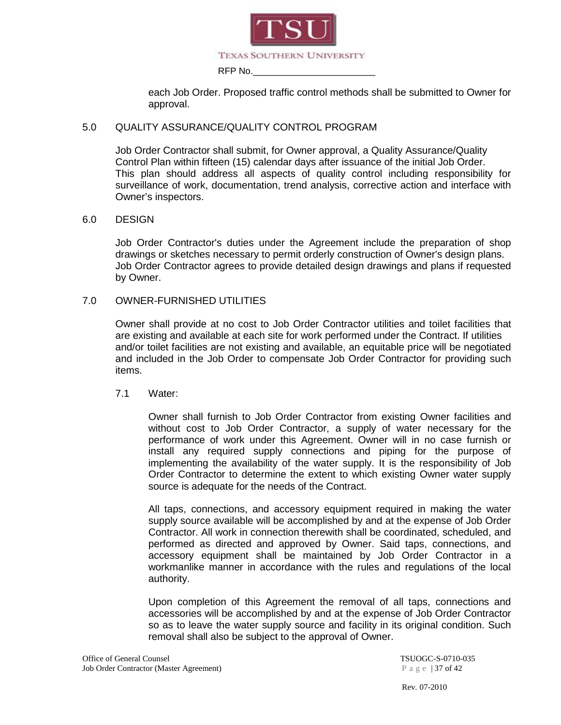

each Job Order. Proposed traffic control methods shall be submitted to Owner for approval.

#### 5.0 QUALITY ASSURANCE/QUALITY CONTROL PROGRAM

Job Order Contractor shall submit, for Owner approval, a Quality Assurance/Quality Control Plan within fifteen (15) calendar days after issuance of the initial Job Order. This plan should address all aspects of quality control including responsibility for surveillance of work, documentation, trend analysis, corrective action and interface with Owner's inspectors.

#### 6.0 DESIGN

Job Order Contractor's duties under the Agreement include the preparation of shop drawings or sketches necessary to permit orderly construction of Owner's design plans. Job Order Contractor agrees to provide detailed design drawings and plans if requested by Owner.

#### 7.0 OWNER-FURNISHED UTILITIES

Owner shall provide at no cost to Job Order Contractor utilities and toilet facilities that are existing and available at each site for work performed under the Contract. If utilities and/or toilet facilities are not existing and available, an equitable price will be negotiated and included in the Job Order to compensate Job Order Contractor for providing such items.

#### 7.1 Water:

Owner shall furnish to Job Order Contractor from existing Owner facilities and without cost to Job Order Contractor, a supply of water necessary for the performance of work under this Agreement. Owner will in no case furnish or install any required supply connections and piping for the purpose of implementing the availability of the water supply. It is the responsibility of Job Order Contractor to determine the extent to which existing Owner water supply source is adequate for the needs of the Contract.

All taps, connections, and accessory equipment required in making the water supply source available will be accomplished by and at the expense of Job Order Contractor. All work in connection therewith shall be coordinated, scheduled, and performed as directed and approved by Owner. Said taps, connections, and accessory equipment shall be maintained by Job Order Contractor in a workmanlike manner in accordance with the rules and regulations of the local authority.

Upon completion of this Agreement the removal of all taps, connections and accessories will be accomplished by and at the expense of Job Order Contractor so as to leave the water supply source and facility in its original condition. Such removal shall also be subject to the approval of Owner.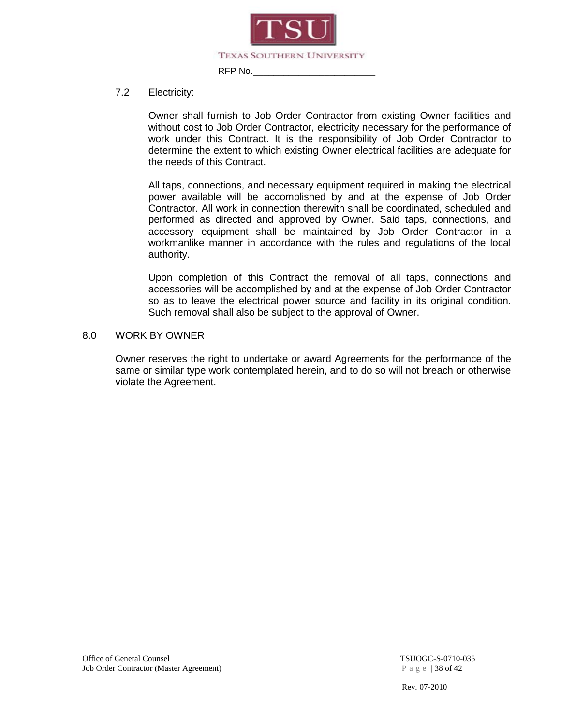

#### 7.2 Electricity:

Owner shall furnish to Job Order Contractor from existing Owner facilities and without cost to Job Order Contractor, electricity necessary for the performance of work under this Contract. It is the responsibility of Job Order Contractor to determine the extent to which existing Owner electrical facilities are adequate for the needs of this Contract.

All taps, connections, and necessary equipment required in making the electrical power available will be accomplished by and at the expense of Job Order Contractor. All work in connection therewith shall be coordinated, scheduled and performed as directed and approved by Owner. Said taps, connections, and accessory equipment shall be maintained by Job Order Contractor in a workmanlike manner in accordance with the rules and regulations of the local authority.

Upon completion of this Contract the removal of all taps, connections and accessories will be accomplished by and at the expense of Job Order Contractor so as to leave the electrical power source and facility in its original condition. Such removal shall also be subject to the approval of Owner.

#### 8.0 WORK BY OWNER

Owner reserves the right to undertake or award Agreements for the performance of the same or similar type work contemplated herein, and to do so will not breach or otherwise violate the Agreement.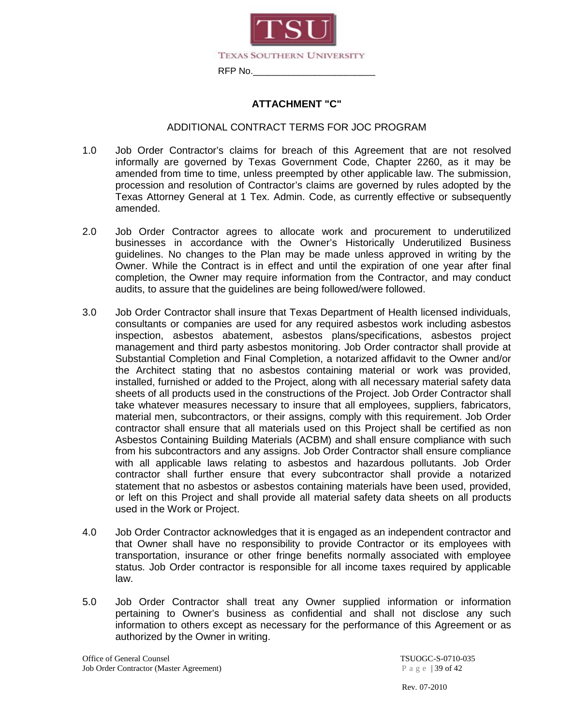

#### **ATTACHMENT "C"**

#### ADDITIONAL CONTRACT TERMS FOR JOC PROGRAM

- 1.0 Job Order Contractor's claims for breach of this Agreement that are not resolved informally are governed by Texas Government Code, Chapter 2260, as it may be amended from time to time, unless preempted by other applicable law. The submission, procession and resolution of Contractor's claims are governed by rules adopted by the Texas Attorney General at 1 Tex. Admin. Code, as currently effective or subsequently amended.
- 2.0 Job Order Contractor agrees to allocate work and procurement to underutilized businesses in accordance with the Owner's Historically Underutilized Business guidelines. No changes to the Plan may be made unless approved in writing by the Owner. While the Contract is in effect and until the expiration of one year after final completion, the Owner may require information from the Contractor, and may conduct audits, to assure that the guidelines are being followed/were followed.
- 3.0 Job Order Contractor shall insure that Texas Department of Health licensed individuals, consultants or companies are used for any required asbestos work including asbestos inspection, asbestos abatement, asbestos plans/specifications, asbestos project management and third party asbestos monitoring. Job Order contractor shall provide at Substantial Completion and Final Completion, a notarized affidavit to the Owner and/or the Architect stating that no asbestos containing material or work was provided, installed, furnished or added to the Project, along with all necessary material safety data sheets of all products used in the constructions of the Project. Job Order Contractor shall take whatever measures necessary to insure that all employees, suppliers, fabricators, material men, subcontractors, or their assigns, comply with this requirement. Job Order contractor shall ensure that all materials used on this Project shall be certified as non Asbestos Containing Building Materials (ACBM) and shall ensure compliance with such from his subcontractors and any assigns. Job Order Contractor shall ensure compliance with all applicable laws relating to asbestos and hazardous pollutants. Job Order contractor shall further ensure that every subcontractor shall provide a notarized statement that no asbestos or asbestos containing materials have been used, provided, or left on this Project and shall provide all material safety data sheets on all products used in the Work or Project.
- 4.0 Job Order Contractor acknowledges that it is engaged as an independent contractor and that Owner shall have no responsibility to provide Contractor or its employees with transportation, insurance or other fringe benefits normally associated with employee status. Job Order contractor is responsible for all income taxes required by applicable law.
- 5.0 Job Order Contractor shall treat any Owner supplied information or information pertaining to Owner's business as confidential and shall not disclose any such information to others except as necessary for the performance of this Agreement or as authorized by the Owner in writing.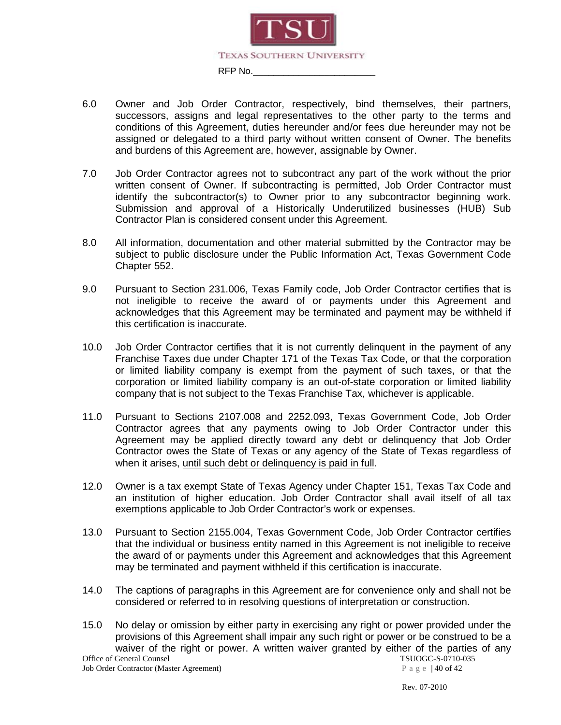

- 6.0 Owner and Job Order Contractor, respectively, bind themselves, their partners, successors, assigns and legal representatives to the other party to the terms and conditions of this Agreement, duties hereunder and/or fees due hereunder may not be assigned or delegated to a third party without written consent of Owner. The benefits and burdens of this Agreement are, however, assignable by Owner.
- 7.0 Job Order Contractor agrees not to subcontract any part of the work without the prior written consent of Owner. If subcontracting is permitted, Job Order Contractor must identify the subcontractor(s) to Owner prior to any subcontractor beginning work. Submission and approval of a Historically Underutilized businesses (HUB) Sub Contractor Plan is considered consent under this Agreement.
- 8.0 All information, documentation and other material submitted by the Contractor may be subject to public disclosure under the Public Information Act, Texas Government Code Chapter 552.
- 9.0 Pursuant to Section 231.006, Texas Family code, Job Order Contractor certifies that is not ineligible to receive the award of or payments under this Agreement and acknowledges that this Agreement may be terminated and payment may be withheld if this certification is inaccurate.
- 10.0 Job Order Contractor certifies that it is not currently delinquent in the payment of any Franchise Taxes due under Chapter 171 of the Texas Tax Code, or that the corporation or limited liability company is exempt from the payment of such taxes, or that the corporation or limited liability company is an out-of-state corporation or limited liability company that is not subject to the Texas Franchise Tax, whichever is applicable.
- 11.0 Pursuant to Sections 2107.008 and 2252.093, Texas Government Code, Job Order Contractor agrees that any payments owing to Job Order Contractor under this Agreement may be applied directly toward any debt or delinquency that Job Order Contractor owes the State of Texas or any agency of the State of Texas regardless of when it arises, until such debt or delinquency is paid in full.
- 12.0 Owner is a tax exempt State of Texas Agency under Chapter 151, Texas Tax Code and an institution of higher education. Job Order Contractor shall avail itself of all tax exemptions applicable to Job Order Contractor's work or expenses.
- 13.0 Pursuant to Section 2155.004, Texas Government Code, Job Order Contractor certifies that the individual or business entity named in this Agreement is not ineligible to receive the award of or payments under this Agreement and acknowledges that this Agreement may be terminated and payment withheld if this certification is inaccurate.
- 14.0 The captions of paragraphs in this Agreement are for convenience only and shall not be considered or referred to in resolving questions of interpretation or construction.

Office of General Counsel<br>
Job Order Contractor (Master Agreement)  $P \text{ a } g \text{ e } |40 \text{ of } 42$ 15.0 No delay or omission by either party in exercising any right or power provided under the provisions of this Agreement shall impair any such right or power or be construed to be a waiver of the right or power. A written waiver granted by either of the parties of any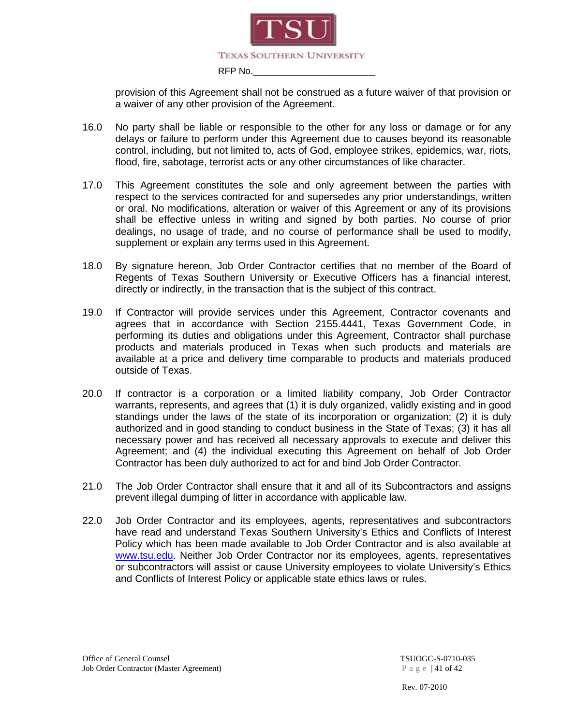

provision of this Agreement shall not be construed as a future waiver of that provision or a waiver of any other provision of the Agreement.

- 16.0 No party shall be liable or responsible to the other for any loss or damage or for any delays or failure to perform under this Agreement due to causes beyond its reasonable control, including, but not limited to, acts of God, employee strikes, epidemics, war, riots, flood, fire, sabotage, terrorist acts or any other circumstances of like character.
- 17.0 This Agreement constitutes the sole and only agreement between the parties with respect to the services contracted for and supersedes any prior understandings, written or oral. No modifications, alteration or waiver of this Agreement or any of its provisions shall be effective unless in writing and signed by both parties. No course of prior dealings, no usage of trade, and no course of performance shall be used to modify, supplement or explain any terms used in this Agreement.
- 18.0 By signature hereon, Job Order Contractor certifies that no member of the Board of Regents of Texas Southern University or Executive Officers has a financial interest, directly or indirectly, in the transaction that is the subject of this contract.
- 19.0 If Contractor will provide services under this Agreement, Contractor covenants and agrees that in accordance with Section 2155.4441, Texas Government Code, in performing its duties and obligations under this Agreement, Contractor shall purchase products and materials produced in Texas when such products and materials are available at a price and delivery time comparable to products and materials produced outside of Texas.
- 20.0 If contractor is a corporation or a limited liability company, Job Order Contractor warrants, represents, and agrees that (1) it is duly organized, validly existing and in good standings under the laws of the state of its incorporation or organization; (2) it is duly authorized and in good standing to conduct business in the State of Texas; (3) it has all necessary power and has received all necessary approvals to execute and deliver this Agreement; and (4) the individual executing this Agreement on behalf of Job Order Contractor has been duly authorized to act for and bind Job Order Contractor.
- 21.0 The Job Order Contractor shall ensure that it and all of its Subcontractors and assigns prevent illegal dumping of litter in accordance with applicable law.
- 22.0 Job Order Contractor and its employees, agents, representatives and subcontractors have read and understand Texas Southern University's Ethics and Conflicts of Interest Policy which has been made available to Job Order Contractor and is also available at www.tsu.edu. Neither Job Order Contractor nor its employees, agents, representatives or subcontractors will assist or cause University employees to violate University's Ethics and Conflicts of Interest Policy or applicable state ethics laws or rules.